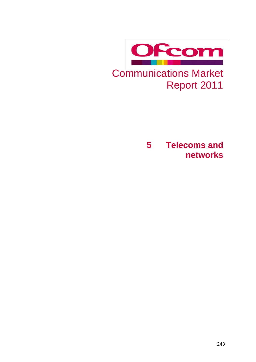

Report 2011

**5 Telecoms and networks**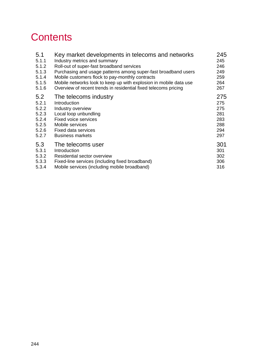# **Contents**

| 5.1   | Key market developments in telecoms and networks                  | 245 |
|-------|-------------------------------------------------------------------|-----|
| 5.1.1 | Industry metrics and summary                                      | 245 |
| 5.1.2 | Roll-out of super-fast broadband services                         | 246 |
| 5.1.3 | Purchasing and usage patterns among super-fast broadband users    | 249 |
| 5.1.4 | Mobile customers flock to pay-monthly contracts                   | 259 |
| 5.1.5 | Mobile networks look to keep up with explosion in mobile data use | 264 |
| 5.1.6 | Overview of recent trends in residential fixed telecoms pricing   | 267 |
| 5.2   | The telecoms industry                                             | 275 |
| 5.2.1 | Introduction                                                      | 275 |
| 5.2.2 | Industry overview                                                 | 275 |
| 5.2.3 | Local loop unbundling                                             | 281 |
| 5.2.4 | <b>Fixed voice services</b>                                       | 283 |
| 5.2.5 | Mobile services                                                   | 288 |
| 5.2.6 | Fixed data services                                               | 294 |
| 5.2.7 | <b>Business markets</b>                                           | 297 |
| 5.3   | The telecoms user                                                 | 301 |
| 5.3.1 | Introduction                                                      | 301 |
| 5.3.2 | Residential sector overview                                       | 302 |
| 5.3.3 | Fixed-line services (including fixed broadband)                   | 306 |
| 5.3.4 | Mobile services (including mobile broadband)                      | 316 |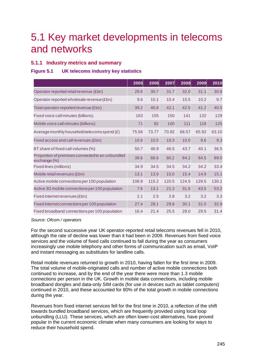# <span id="page-2-0"></span>5.1 Key market developments in telecoms and networks

# <span id="page-2-1"></span>**5.1.1 Industry metrics and summary**

# **Figure 5.1 UK telecoms industry key statistics**

|                                                                  | 2005  | 2006  | $\overline{2}$ 007 | 2008  | 2009  | 2010  |
|------------------------------------------------------------------|-------|-------|--------------------|-------|-------|-------|
| Operator-reported retail revenue (£bn)                           | 29.6  | 30.7  | 31.7               | 32.0  | 31.1  | 30.8  |
| Operator-reported wholesale revenue (£bn)                        | 9.6   | 10.1  | 10.4               | 10.5  | 10.2  | 9.7   |
| Total operator-reported revenue (£bn)                            | 39.2  | 40.8  | 42.1               | 42.5  | 41.2  | 40.5  |
| Fixed voice call minutes (billions)                              | 163   | 155   | 150                | 141   | 132   | 129   |
| Mobile voice call minutes (billions)                             | 71    | 82    | 100                | 111   | 118   | 125   |
| Average monthly household telecoms spend $(E)$                   | 75.56 | 73.77 | 70.92              | 68.57 | 65.92 | 63.10 |
| Fixed access and call revenues (£bn)                             | 10.6  | 10.5  | 10.3               | 10.0  | 9.6   | 9.3   |
| BT share of fixed call volumes (%)                               | 50.7  | 46.9  | 46.5               | 43.7  | 40.1  | 36.5  |
| Proportion of premises connected to an unbundled<br>exchange (%) | 39.6  | 66.6  | 80.2               | 84.2  | 84.5  | 89.0  |
| Fixed lines (millions)                                           | 34.9  | 34.5  | 34.5               | 34.2  | 34.2  | 33.4  |
| Mobile retail revenues (£bn)                                     | 13.1  | 13.9  | 15.0               | 15.4  | 14.9  | 15.1  |
| Active mobile connections per 100 population                     | 108.8 | 115.2 | 120.5              | 124.5 | 129.5 | 130.1 |
| Active 3G mobile connections per 100 population                  | 7.6   | 13.1  | 21.3               | 31.6  | 43.5  | 53.2  |
| Fixed internet revenues (£bn)                                    | 2.1   | 2.5   | 2.8                | 3.2   | 3.2   | 3.3   |
| Fixed internet connections per 100 population                    | 27.4  | 28.1  | 29.8               | 30.1  | 31.0  | 32.9  |
| Fixed broadband connections per 100 population                   | 16.4  | 21.4  | 25.5               | 28.0  | 29.5  | 31.4  |

#### *Source: Ofcom / operators*

For the second successive year UK operator-reported retail telecoms revenues fell in 2010, although the rate of decline was lower than it had been in 2009. Revenues from fixed voice services and the volume of fixed calls continued to fall during the year as consumers increasingly use mobile telephony and other forms of communication such as email, VoIP and instant messaging as substitutes for landline calls.

Retail mobile revenues returned to growth in 2010, having fallen for the first time in 2009. The total volume of mobile-originated calls and number of active mobile connections both continued to increase, and by the end of the year there were more than 1.3 mobile connections per person in the UK. Growth in mobile data connections, including mobile broadband dongles and data-only SIM cards (for use in devices such as tablet computers) continued in 2010, and these accounted for 80% of the total growth in mobile connections during the year.

Revenues from fixed internet services fell for the first time in 2010, a reflection of the shift towards bundled broadband services, which are frequently provided using local loop unbundling (LLU). These services, which are often lower-cost alternatives, have proved popular in the current economic climate when many consumers are looking for ways to reduce their household spend.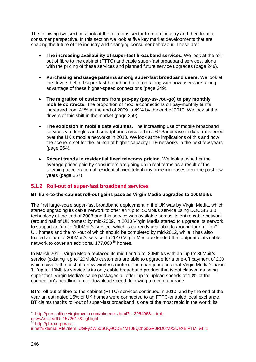The following two sections look at the telecoms sector from an industry and then from a consumer perspective. In this section we look at five key market developments that are shaping the future of the industry and changing consumer behaviour. These are:

- **The increasing availability of super-fast broadband services.** We look at the rollout of fibre to the cabinet (FTTC) and cable super-fast broadband services, along with the pricing of these services and planned future service upgrades (page [246\)](#page-3-0).
- **Purchasing and usage patterns among super-fast broadband users.** We look at the drivers behind super-fast broadband take-up, along with how users are taking advantage of these higher-speed connections (page [249\)](#page-6-0).
- **The migration of customers from pre-pay (pay-as-you-go) to pay monthly mobile contracts**. The proportion of mobile connections on pay-monthly tariffs increased from 41% at the end of 2009 to 49% by the end of 2010. We look at the drivers of this shift in the market (page [259\)](#page-16-0).
- **The explosion in mobile data volumes**. The increasing use of mobile broadband services via dongles and smartphones resulted in a 67% increase in data transferred over the UK's mobile networks in 2010. We look at the implications of this and how the scene is set for the launch of higher-capacity LTE networks in the next few years (page [264\)](#page-21-0).
- **Recent trends in residential fixed telecoms pricing.** We look at whether the average prices paid by consumers are going up in real terms as a result of the seeming acceleration of residential fixed telephony price increases over the past few years (page [267\)](#page-24-0).

# <span id="page-3-0"></span>**5.1.2 Roll-out of super-fast broadband services**

# **BT fibre-to-the-cabinet roll-out gains pace as Virgin Media upgrades to 100Mbit/s**

The first large-scale super-fast broadband deployment in the UK was by Virgin Media, which started upgrading its cable network to offer an 'up to' 50Mbit/s service using DOCSIS 3.0 technology at the end of 2008 and this service was available across its entire cable network (around half of UK homes) by mid-2009. In 2010 Virgin Media started to upgrade its network to support an 'up to' 100Mbit/s service, which is currently available to around four million<sup>[45](#page-3-1)</sup> UK homes and the roll-out of which should be completed by mid-2012, while it has also trialled an 'up to' 200Mbit/s service. In 2010 Virgin Media extended the footprint of its cable network to cover an additional 177,000<sup>[46](#page-3-2)</sup> homes.

In March 2011, Virgin Media replaced its mid-tier 'up to' 20Mbit/s with an 'up to' 30Mbit/s service (existing 'up to' 20Mbit/s customers are able to upgrade for a one-off payment of £30 which covers the cost of a new wireless router). The change means that Virgin Media's basic 'L' 'up to' 10Mbit/s service is its only cable broadband product that is not classed as being super-fast. Virgin Media's cable packages all offer 'up to' upload speeds of 10% of the connection's headline 'up to' download speed, following a recent upgrade.

BT's roll-out of fibre-to-the-cabinet (FTTC) services continued in 2010, and by the end of the year an estimated 16% of UK homes were connected to an FTTC-enabled local exchange. BT claims that its roll-out of super-fast broadband is one of the most rapid in the world; its

<span id="page-3-1"></span><sup>&</sup>lt;sup>45</sup> http://pressoffice.virginmedia.com/phoenix.zhtml?c=205406&p=irol-<br>newsArticle&ID=1572617&highlight=

<span id="page-3-2"></span><sup>46</sup> [http://phx.corporate-](http://phx.corporate-ir.net/External.File?item=UGFyZW50SUQ9ODE4MTJ8Q2hpbGRJRD0tMXxUeXBlPTM=&t=1)

[ir.net/External.File?item=UGFyZW50SUQ9ODE4MTJ8Q2hpbGRJRD0tMXxUeXBlPTM=&t=1](http://phx.corporate-ir.net/External.File?item=UGFyZW50SUQ9ODE4MTJ8Q2hpbGRJRD0tMXxUeXBlPTM=&t=1)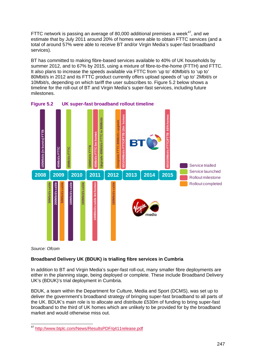FTTC network is passing an average of 80,000 additional premises a week $47$ , and we estimate that by July 2011 around 20% of homes were able to obtain FTTC services (and a total of around 57% were able to receive BT and/or Virgin Media's super-fast broadband services).

BT has committed to making fibre-based services available to 40% of UK households by summer 2012, and to 67% by 2015, using a mixture of fibre-to-the-home (FTTH) and FTTC. It also plans to increase the speeds available via FTTC from 'up to' 40Mbit/s to 'up to' 80Mbit/s in 2012 and its FTTC product currently offers upload speeds of 'up to' 2Mbit/s or 10Mbit/s, depending on which tariff the user subscribes to. [Figure](#page-4-0) 5.2 below shows a timeline for the roll-out of BT and Virgin Media's super-fast services, including future milestones.



<span id="page-4-0"></span>

*Source: Ofcom*

# **Broadband Delivery UK (BDUK) is trialling fibre services in Cumbria**

In addition to BT and Virgin Media's super-fast roll-out, many smaller fibre deployments are either in the planning stage, being deployed or complete. These include Broadband Delivery UK's (BDUK)'s trial deployment in Cumbria.

BDUK, a team within the Department for Culture, Media and Sport (DCMS), was set up to deliver the government's broadband strategy of bringing super-fast broadband to all parts of the UK. BDUK's main role is to allocate and distribute £530m of funding to bring super-fast broadband to the third of UK homes which are unlikely to be provided for by the broadband market and would otherwise miss out.

<span id="page-4-1"></span> <sup>47</sup> <http://www.btplc.com/News/ResultsPDF/q411release.pdf>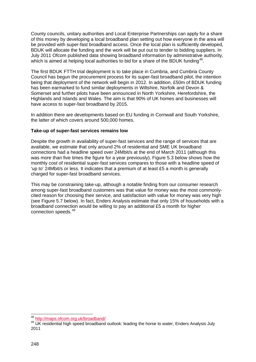County councils, unitary authorities and Local Enterprise Partnerships can apply for a share of this money by developing a local broadband plan setting out how everyone in the area will be provided with super-fast broadband access. Once the local plan is sufficiently developed, BDUK will allocate the funding and the work will be put out to tender to bidding suppliers. In July 2011 Ofcom published data showing broadband information by administrative authority, which is aimed at helping local authorities to bid for a share of the BDUK funding<sup>[48](#page-5-0)</sup>.

The first BDUK FTTH trial deployment is to take place in Cumbria, and Cumbria County Council has begun the procurement process for its super-fast broadband pilot, the intention being that deployment of the network will begin in 2012. In addition, £50m of BDUK funding has been earmarked to fund similar deployments in Wiltshire, Norfolk and Devon & Somerset and further pilots have been announced in North Yorkshire, Herefordshire, the Highlands and Islands and Wales. The aim is that 90% of UK homes and businesses will have access to super-fast broadband by 2015.

In addition there are developments based on EU funding in Cornwall and South Yorkshire, the latter of which covers around 500,000 homes.

#### **Take-up of super-fast services remains low**

Despite the growth in availability of super-fast services and the range of services that are available, we estimate that only around 2% of residential and SME UK broadband connections had a headline speed over 24Mbit/s at the end of March 2011 (although this was more than five times the figure for a year previously). [Figure 5.3](#page-6-1) below shows how the monthly cost of residential super-fast services compares to those with a headline speed of 'up to' 24Mbit/s or less. It indicates that a premium of at least £5 a month is generally charged for super-fast broadband services.

This may be constraining take-up, although a notable finding from our consumer research among super-fast broadband customers was that value for money was the most commonlycited reason for choosing their service, and satisfaction with value for money was very high (see [Figure 5.7](#page-9-0) below). In fact, Enders Analysis estimate that only 15% of households with a broadband connection would be willing to pay an additional £5 a month for higher connection speeds. [49](#page-5-1)

<span id="page-5-1"></span><span id="page-5-0"></span><sup>&</sup>lt;sup>48</sup> <http://maps.ofcom.org.uk/broadband/><br><sup>49</sup> UK residential high speed broadband outlook: leading the horse to water, Enders Analysis July 2011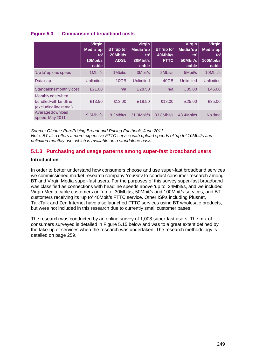# <span id="page-6-1"></span>**Figure 5.3 Comparison of broadband costs**

|                                                                       | <b>Virgin</b><br>Media 'up<br>to'<br>10Mbit/s<br>cable | BT 'up to'<br>20Mbit/s<br><b>ADSL</b> | <b>Virgin</b><br>Media 'up<br>to'<br>30Mbit/s<br>cable | BT 'up to'<br>40Mbit/s<br><b>FTTC</b> | <b>Virgin</b><br>Media 'up<br>to'<br>50Mbit/s<br>cable | <b>Virgin</b><br>Media 'up<br>to'<br>100Mbit/s<br>cable |
|-----------------------------------------------------------------------|--------------------------------------------------------|---------------------------------------|--------------------------------------------------------|---------------------------------------|--------------------------------------------------------|---------------------------------------------------------|
| 'Up to' upload speed                                                  | 1Mbit/s                                                | 1 Mbit/s                              | 3Mbit/s                                                | 2Mbit/s                               | 5Mbit/s                                                | 10Mbit/s                                                |
| Data cap                                                              | <b>Unlimited</b>                                       | 10GB                                  | Unlimited                                              | 40GB                                  | Unlimited                                              | Unlimited                                               |
| Standalone monthly cost                                               | £21.00                                                 | n/a                                   | £28.50                                                 | n/a                                   | £35.00                                                 | £45.00                                                  |
| Monthly cost when<br>bundled with landline<br>(excluding line rental) | £13.50                                                 | £13.00                                | £18.50                                                 | £18.00                                | £25.00                                                 | £35.00                                                  |
| Average download<br>speed, May 2011                                   | 9.5Mbit/s                                              | 8.2Mbit/s                             | 31.0Mbit/s                                             | 33.8Mbit/s                            | 48.4Mbit/s                                             | No data                                                 |

*Source: Ofcom / PurePricing Broadband Pricing Factbook, June 2011 Note: BT also offers a more expensive FTTC service with upload speeds of 'up to' 10Mbit/s and unlimited monthly use, which is available on a standalone basis.*

# <span id="page-6-0"></span>**5.1.3 Purchasing and usage patterns among super-fast broadband users**

## **Introduction**

In order to better understand how consumers choose and use super-fast broadband services we commissioned market research company YouGov to conduct consumer research among BT and Virgin Media super-fast users. For the purposes of this survey super-fast broadband was classified as connections with headline speeds above 'up to' 24Mbit/s, and we included Virgin Media cable customers on 'up to' 30Mbit/s, 50Mbit/s and 100Mbit/s services, and BT customers receiving its 'up to' 40Mbit/s FTTC service. Other ISPs including Plusnet, TalkTalk and Zen Internet have also launched FTTC services using BT wholesale products, but were not included in this research due to currently small customer bases.

The research was conducted by an online survey of 1,008 super-fast users. The mix of consumers surveyed is detailed in [Figure 5.15](#page-16-1) below and was to a great extent defined by the take-up of services when the research was undertaken. The research methodology is detailed on page [259.](#page-16-1)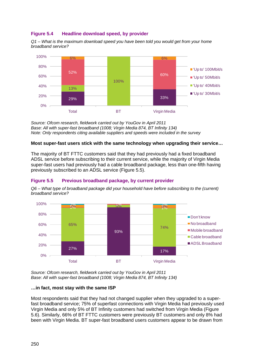## **Figure 5.4 Headline download speed, by provider**

*Q1 – What is the maximum download speed you have been told you would get from your home broadband service?* 



*Source: Ofcom research, fieldwork carried out by YouGov in April 2011 Base: All with super-fast broadband (1008; Virgin Media 874, BT Infinity 134) Note: Only respondents citing available suppliers and speeds were included in the survey*

#### **Most super-fast users stick with the same technology when upgrading their service…**

The majority of BT FTTC customers said that they had previously had a fixed broadband ADSL service before subscribing to their current service, while the majority of Virgin Media super-fast users had previously had a cable broadband package, less than one-fifth having previously subscribed to an ADSL service [\(Figure 5.5\)](#page-7-0).

## <span id="page-7-0"></span>**Figure 5.5 Previous broadband package, by current provider**

*Q6 – What type of broadband package did your household have before subscribing to the (current) broadband service?* 



*Source: Ofcom research, fieldwork carried out by YouGov in April 2011 Base: All with super-fast broadband (1008; Virgin Media 874, BT Infinity 134)* 

#### **…in fact, most stay with the same ISP**

Most respondents said that they had not changed supplier when they upgraded to a superfast broadband service; 75% of superfast connections with Virgin Media had previously used Virgin Media and only 5% of BT Infinity customers had switched from Virgin Media [\(Figure](#page-8-0)  [5.6\)](#page-8-0). Similarly, 66% of BT FTTC customers were previously BT customers and only 8% had been with Virgin Media. BT super-fast broadband users customers appear to be drawn from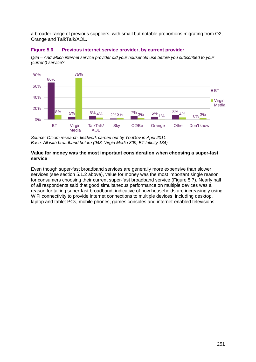a broader range of previous suppliers, with small but notable proportions migrating from O2, Orange and TalkTalk/AOL.

## <span id="page-8-0"></span>**Figure 5.6 Previous internet service provider, by current provider**

*Q6a – And which internet service provider did your household use before you subscribed to your (current) service?* 



*Source: Ofcom research, fieldwork carried out by YouGov in April 2011 Base: All with broadband before (943; Virgin Media 809, BT Infinity 134)* 

#### **Value for money was the most important consideration when choosing a super-fast service**

Even though super-fast broadband services are generally more expensive than slower services (see section [5.1.2](#page-3-0) above), value for money was the most important single reason for consumers choosing their current super-fast broadband service [\(Figure 5.7\)](#page-9-0). Nearly half of all respondents said that good simultaneous performance on multiple devices was a reason for taking super-fast broadband, indicative of how households are increasingly using WiFi connectivity to provide internet connections to multiple devices, including desktop, laptop and tablet PCs, mobile phones, games consoles and internet-enabled televisions.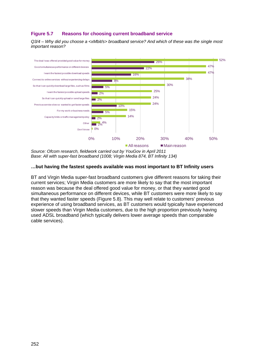## <span id="page-9-0"></span>**Figure 5.7 Reasons for choosing current broadband service**

*Q3/4 – Why did you choose a <xMbit/s> broadband service? And which of these was the single most important reason?* 



*Source: Ofcom research, fieldwork carried out by YouGov in April 2011 Base: All with super-fast broadband (1008; Virgin Media 874, BT Infinity 134)*

#### **…but having the fastest speeds available was most important to BT Infinity users**

BT and Virgin Media super-fast broadband customers give different reasons for taking their current services; Virgin Media customers are more likely to say that the most important reason was because the deal offered good value for money, or that they wanted good simultaneous performance on different devices, while BT customers were more likely to say that they wanted faster speeds [\(Figure 5.8\)](#page-10-0). This may well relate to customers' previous experience of using broadband services, as BT customers would typically have experienced slower speeds than Virgin Media customers, due to the high proportion previously having used ADSL broadband (which typically delivers lower average speeds than comparable cable services).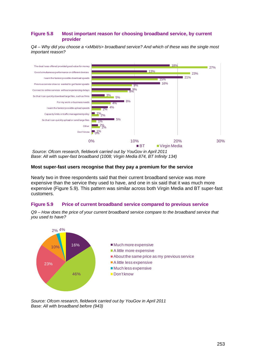## <span id="page-10-0"></span>**Figure 5.8 Most important reason for choosing broadband service, by current provider**

*Q4 – Why did you choose a <xMbit/s> broadband service? And which of these was the single most important reason?* 



*Source: Ofcom research, fieldwork carried out by YouGov in April 2011* Base: All with super-fast broadband (1008; Virgin Media 874, BT Infinity 134)

## **Most super-fast users recognise that they pay a premium for the service**

Nearly two in three respondents said that their current broadband service was more expensive than the service they used to have, and one in six said that it was much more expensive [\(Figure 5.9\)](#page-10-1). This pattern was similar across both Virgin Media and BT super-fast customers.

## <span id="page-10-1"></span>**Figure 5.9 Price of current broadband service compared to previous service**

*Q9 – How does the price of your current broadband service compare to the broadband service that you used to have?* 



*Source: Ofcom research, fieldwork carried out by YouGov in April 2011 Base: All with broadband before (943)*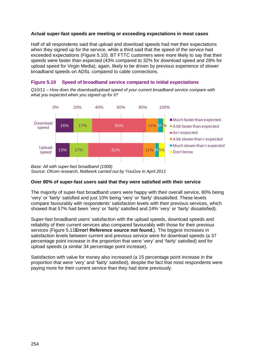#### **Actual super-fast speeds are meeting or exceeding expectations in most cases**

Half of all respondents said that upload and download speeds had met their expectations when they signed up for the service, while a third said that the speed of the service had exceeded expectations [\(Figure 5.10\)](#page-11-0). BT FTTC customers were more likely to say that their speeds were faster than expected (43% compared to 32% for download speed and 28% for upload speed for Virgin Media); again, likely to be driven by previous experience of slower broadband speeds on ADSL compared to cable connections.

<span id="page-11-0"></span>

*what you expected when you signed up for it?* 



*Base: All with super-fast broadband (1008) Source: Ofcom research, fieldwork carried out by YouGov in April 2011* 

#### **Over 80% of super-fast users said that they were satisfied with their service**

The majority of super-fast broadband users were happy with their overall service, 80% being 'very' or 'fairly' satisfied and just 10% being 'very' or 'fairly' dissatisfied. These levels compare favourably with respondents' satisfaction levels with their previous services, which showed that 57% had been 'very' or 'fairly' satisfied and 24% 'very' or 'fairly' dissatisfied).

Super-fast broadband users' satisfaction with the upload speeds, download speeds and reliability of their current services also compared favourably with those for their previous services [\(Figure 5.11](#page-12-0)**[Error! Reference source not found.](#page-12-0)**). The biggest increases in satisfaction levels between current and previous service were for download speeds (a 37 percentage point increase in the proportion that were 'very' and 'fairly' satisfied) and for upload speeds (a similar 34 percentage point increase).

Satisfaction with value for money also increased (a 15 percentage point increase in the proportion that were 'very' and 'fairly' satisfied), despite the fact that most respondents were paying more for their current service than they had done previously.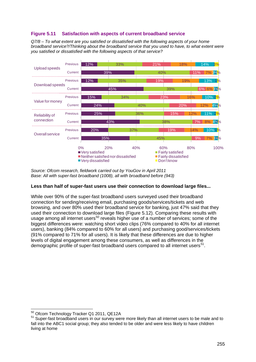# <span id="page-12-0"></span>**Figure 5.11 Satisfaction with aspects of current broadband service**

*Q7/8 – To what extent are you satisfied or dissatisfied with the following aspects of your home broadband service?/Thinking about the broadband service that you used to have, to what extent were you satisfied or dissatisfied with the following aspects of that service?*



*Source: Ofcom research, fieldwork carried out by YouGov in April 2011 Base: All with super-fast broadband (1008), all with broadband before (943)*

## **Less than half of super-fast users use their connection to download large files...**

While over 90% of the super-fast broadband users surveyed used their broadband connection for sending/receiving email, purchasing goods/services/tickets and web browsing, and over 80% used their broadband service for banking, just 47% said that they used their connection to download large files [\(Figure 5.12\)](#page-13-0). Comparing these results with usage among all internet users<sup>[50](#page-12-1)</sup> reveals higher use of a number of services; some of the biggest differences were: watching short video clips (76% compared to 40% for all internet users), banking (84% compared to 60% for all users) and purchasing good/services/tickets (91% compared to 71% for all users). It is likely that these differences are due to higher levels of digital engagement among these consumers, as well as differences in the demographic profile of super-fast broadband users compared to all internet users<sup>[51](#page-12-2)</sup>.

<span id="page-12-2"></span><span id="page-12-1"></span> $50$  Ofcom Technology Tracker Q1 2011, QE12A<br> $51$  Super-fast broadband users in our survey were more likely than all internet users to be male and to fall into the ABC1 social group; they also tended to be older and were less likely to have children living at home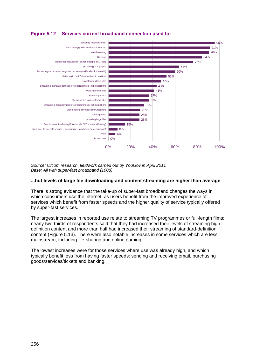<span id="page-13-0"></span>



*Source: Ofcom research, fieldwork carried out by YouGov in April 2011 Base: All with super-fast broadband (1008)*

#### **...but levels of large file downloading and content streaming are higher than average**

There is strong evidence that the take-up of super-fast broadband changes the ways in which consumers use the internet, as users benefit from the improved experience of services which benefit from faster speeds and the higher quality of service typically offered by super-fast services.

The largest increases in reported use relate to streaming TV programmes or full-length films; nearly two-thirds of respondents said that they had increased their levels of streaming highdefinition content and more than half had increased their streaming of standard-definition content [\(Figure 5.13\)](#page-14-0). There were also notable increases in some services which are less mainstream, including file-sharing and online gaming.

The lowest increases were for those services where use was already high, and which typically benefit less from having faster speeds: sending and receiving email, purchasing goods/services/tickets and banking.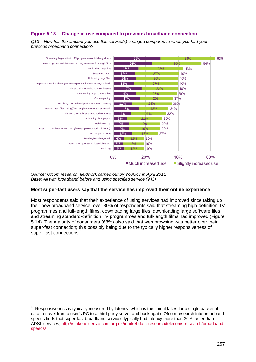# <span id="page-14-0"></span>**Figure 5.13 Change in use compared to previous broadband connection**

*Q13 – How has the amount you use this service(s) changed compared to when you had your previous broadband connection?* 



*Source: Ofcom research, fieldwork carried out by YouGov in April 2011 Base: All with broadband before and using specified service (943)*

## **Most super-fast users say that the service has improved their online experience**

Most respondents said that their experience of using services had improved since taking up their new broadband service; over 80% of respondents said that streaming high-definition TV programmes and full-length films, downloading large files, downloading large software files and streaming standard-definition TV programmes and full-length films had improved [\(Figure](#page-15-0)  [5.14\)](#page-15-0). The majority of consumers (68%) also said that web browsing was better over their super-fast connection; this possibly being due to the typically higher responsiveness of super-fast connections<sup>[52](#page-14-1)</sup>.

<span id="page-14-1"></span> $52$  Responsiveness is typically measured by latency, which is the time it takes for a single packet of data to travel from a user's PC to a third party server and back again. Ofcom research into broadband speeds finds that super-fast broadband services typically had latency more than 30% faster than ADSL services, [http://stakeholders.ofcom.org.uk/market-data-research/telecoms-research/broadband](http://stakeholders.ofcom.org.uk/market-data-research/telecoms-research/broadband-speeds/)[speeds/](http://stakeholders.ofcom.org.uk/market-data-research/telecoms-research/broadband-speeds/)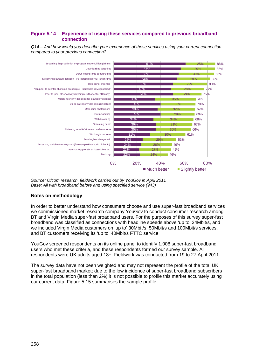## <span id="page-15-0"></span>**Figure 5.14 Experience of using these services compared to previous broadband connection**

*Q14 – And how would you describe your experience of these services using your current connection compared to your previous connection?* 



*Source: Ofcom research, fieldwork carried out by YouGov in April 2011 Base: All with broadband before and using specified service (943)*

## **Notes on methodology**

In order to better understand how consumers choose and use super-fast broadband services we commissioned market research company YouGov to conduct consumer research among BT and Virgin Media super-fast broadband users. For the purposes of this survey super-fast broadband was classified as connections with headline speeds above 'up to' 24Mbit/s, and we included Virgin Media customers on 'up to' 30Mbit/s, 50Mbit/s and 100Mbit/s services, and BT customers receiving its 'up to' 40Mbit/s FTTC service.

YouGov screened respondents on its online panel to identify 1,008 super-fast broadband users who met these criteria, and these respondents formed our survey sample. All respondents were UK adults aged 18+. Fieldwork was conducted from 19 to 27 April 2011.

The survey data have not been weighted and may not represent the profile of the total UK super-fast broadband market; due to the low incidence of super-fast broadband subscribers in the total population (less than 2%) it is not possible to profile this market accurately using our current data. [Figure 5.15](#page-16-1) summarises the sample profile.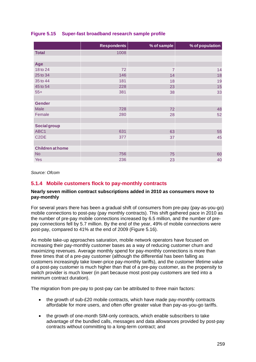|                         | <b>Respondents</b> | % of sample    | % of population |
|-------------------------|--------------------|----------------|-----------------|
| <b>Total</b>            | 1008               |                |                 |
|                         |                    |                |                 |
| Age                     |                    |                |                 |
| 18 to 24                | 72                 | $\overline{7}$ | 14              |
| 25 to 34                | 146                | 14             | 18              |
| 35 to 44                | 181                | 18             | 19              |
| 45 to 54                | 228                | 23             | 15              |
| $55+$                   | 381                | 38             | 33              |
|                         |                    |                |                 |
| <b>Gender</b>           |                    |                |                 |
| Male                    | 728                | 72             | 48              |
| Female                  | 280                | 28             | 52              |
|                         |                    |                |                 |
| <b>Social group</b>     |                    |                |                 |
| ABC1                    | 631                | 63             | 55              |
| C <sub>2</sub> DE       | 377                | 37             | 45              |
|                         |                    |                |                 |
| <b>Children at home</b> |                    |                |                 |
| <b>No</b>               | 756                | 75             | 60              |
| Yes                     | 236                | 23             | 40              |

## <span id="page-16-1"></span>**Figure 5.15 Super-fast broadband research sample profile**

*Source: Ofcom*

# <span id="page-16-0"></span>**5.1.4 Mobile customers flock to pay-monthly contracts**

#### **Nearly seven million contract subscriptions added in 2010 as consumers move to pay-monthly**

For several years there has been a gradual shift of consumers from pre-pay (pay-as-you-go) mobile connections to post-pay (pay monthly contracts). This shift gathered pace in 2010 as the number of pre-pay mobile connections increased by 6.5 million, and the number of prepay connections fell by 5.7 million. By the end of the year, 49% of mobile connections were post-pay, compared to 41% at the end of 2009 [\(Figure 5.16\)](#page-17-0).

As mobile take-up approaches saturation, mobile network operators have focused on increasing their pay-monthly customer bases as a way of reducing customer churn and maximizing revenues. Average monthly spend for pay-monthly connections is more than three times that of a pre-pay customer (although the differential has been falling as customers increasingly take lower-price pay-monthly tariffs), and the customer lifetime value of a post-pay customer is much higher than that of a pre-pay customer, as the propensity to switch provider is much lower (in part because most post-pay customers are tied into a minimum contract duration).

The migration from pre-pay to post-pay can be attributed to three main factors:

- the growth of sub-£20 mobile contracts, which have made pay-monthly contracts affordable for more users, and often offer greater value than pay-as-you-go tariffs.
- the growth of one-month SIM-only contracts, which enable subscribers to take advantage of the bundled calls, messages and data allowances provided by post-pay contracts without committing to a long-term contract; and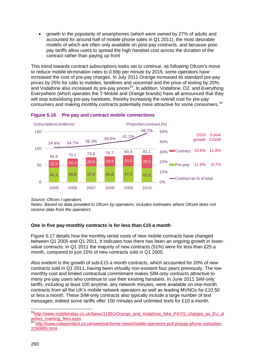• growth in the popularity of smartphones (which were owned by 27% of adults and accounted for around half of mobile phone sales in Q1 2011), the most desirable models of which are often only available on post-pay contracts, and because postpay tariffs allow users to spread the high handset cost across the duration of the contract rather than paying up front

This trend towards contract subscriptions looks set to continue, as following Ofcom's move to reduce mobile termination rates to 0.69p per minute by 2015, some operators have increased the cost of pre-pay charges. In July 2011 Orange increased its standard pre-pay prices by 25% for calls to mobiles, landlines and voicemail and the price of texting by 20%, and Vodafone also increased its pre-pay prices<sup>53</sup>. In addition, Vodafone, O2, and Everything Everywhere (which operates the T-Mobile and Orange brands) have all announced that they will stop subsidising pre-pay handsets, thereby increasing the overall cost for pre-pay consumers and making monthly contracts potentially more attractive for some consumers.<sup>[54](#page-17-2)</sup>



## <span id="page-17-0"></span>**Figure 5.16 Pre-pay and contract mobile connections**

*Source: Ofcom / operators*

*Notes: Based on data provided to Ofcom by operators; includes estimates where Ofcom does not receive data from the operators*

# **One in five pay-monthly contracts is for less than £15 a month**

[Figure 5.17](#page-18-0) details how the monthly rental costs of new mobile contracts have changed between Q1 2005 and Q1 2011. It indicates how there has been an ongoing growth in lowervalue contracts: in Q1 2011 the majority of new contracts (51%) were for less than £25 a month, compared to just 15% of new contracts sold in Q1 2005.

Also evident is the growth of sub-£15 a month contracts, which accounted for 20% of new contracts sold in Q1 2011, having been virtually non-existent four years previously. The low monthly cost and limited contractual commitment makes SIM-only contracts attractive to many pre-pay users who continue to use their existing handsets. In June 2011 SIM-only tariffs, including at least 100 anytime, any network minutes, were available on one-month contracts from all the UK's mobile network operators as well as leading MVNOs for £10.50 or less a month. These SIM-only contracts also typically include a large number of text messages; indeed some tariffs offer 100 minutes and unlimited texts for £10 a month,

<span id="page-17-1"></span><sup>53</sup>http://www.mobiletoday.co.uk/News/11951/Orange\_and\_Vodafone\_hike\_PAYG\_charges\_as\_EU\_sl [ashes\\_roaming\\_fees.aspx](http://www.mobiletoday.co.uk/News/11951/Orange_and_Vodafone_hike_PAYG_charges_as_EU_slashes_roaming_fees.aspx)

<span id="page-17-2"></span><sup>54</sup> [http://www.independent.co.uk/news/uk/home-news/mobile-operators-pull-prepay-phone-subsidies-](http://www.independent.co.uk/news/uk/home-news/mobile-operators-pull-prepay-phone-subsidies-2290895.html)[2290895.html](http://www.independent.co.uk/news/uk/home-news/mobile-operators-pull-prepay-phone-subsidies-2290895.html)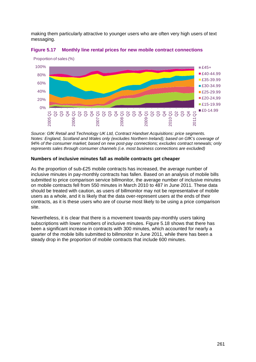making them particularly attractive to younger users who are often very high users of text messaging.



<span id="page-18-0"></span>

*Source: GfK Retail and Technology UK Ltd, Contract Handset Acquisitions: price segments. Notes: England, Scotland and Wales only (excludes Northern Ireland); based on GfK's coverage of 94% of the consumer market; based on new post-pay connections; excludes contract renewals; only represents sales through consumer channels (i.e. most business connections are excluded)* 

#### **Numbers of inclusive minutes fall as mobile contracts get cheaper**

As the proportion of sub-£25 mobile contracts has increased, the average number of inclusive minutes in pay-monthly contracts has fallen. Based on an analysis of mobile bills submitted to price comparison service billmonitor, the average number of inclusive minutes on mobile contracts fell from 550 minutes in March 2010 to 487 in June 2011. These data should be treated with caution, as users of billmonitor may not be representative of mobile users as a whole, and it is likely that the data over-represent users at the ends of their contracts, as it is these users who are of course most likely to be using a price comparison site.

<span id="page-18-1"></span>Nevertheless, it is clear that there is a movement towards pay-monthly users taking subscriptions with lower numbers of inclusive minutes. [Figure 5.18](#page-18-1) shows that there has been a significant increase in contracts with 300 minutes, which accounted for nearly a quarter of the mobile bills submitted to billmonitor in June 2011, while there has been a steady drop in the proportion of mobile contracts that include 600 minutes.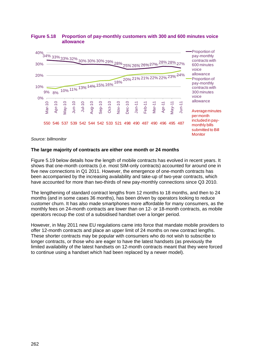

## **Figure 5.18 Proportion of pay-monthly customers with 300 and 600 minutes voice allowance**

*Source: billmonitor*

#### **The large majority of contracts are either one month or 24 months**

[Figure 5.19](#page-20-0) below details how the length of mobile contracts has evolved in recent years. It shows that one-month contracts (i.e. most SIM-only contracts) accounted for around one in five new connections in Q1 2011. However, the emergence of one-month contracts has been accompanied by the increasing availability and take-up of two-year contracts, which have accounted for more than two-thirds of new pay-monthly connections since Q3 2010.

The lengthening of standard contract lengths from 12 months to 18 months, and then to 24 months (and in some cases 36 months), has been driven by operators looking to reduce customer churn. It has also made smartphones more affordable for many consumers, as the monthly fees on 24-month contracts are lower than on 12- or 18-month contracts, as mobile operators recoup the cost of a subsidised handset over a longer period.

However, in May 2011 new EU regulations came into force that mandate mobile providers to offer 12-month contracts and place an upper limit of 24 months on new contract lengths. These shorter contracts may be popular with consumers who do not wish to subscribe to longer contracts, or those who are eager to have the latest handsets (as previously the limited availability of the latest handsets on 12-month contracts meant that they were forced to continue using a handset which had been replaced by a newer model).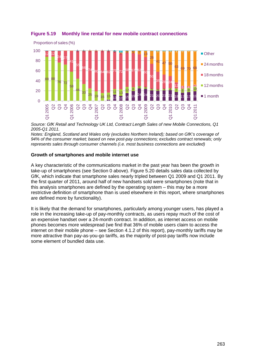

# <span id="page-20-0"></span>**Figure 5.19 Monthly line rental for new mobile contract connections**

*Source: GfK Retail and Technology UK Ltd, Contract Length Sales of new Mobile Connections, Q1 2005-Q1 2011.*

*Notes: England, Scotland and Wales only (excludes Northern Ireland); based on GfK's coverage of 94% of the consumer market; based on new post-pay connections; excludes contract renewals; only represents sales through consumer channels (i.e. most business connections are excluded)* 

## **Growth of smartphones and mobile internet use**

A key characteristic of the communications market in the past year has been the growth in take-up of smartphones (see Section 0 above). [Figure 5.20](#page-21-1) details sales data collected by GfK, which indicate that smartphone sales nearly tripled between Q1 2009 and Q1 2011. By the first quarter of 2011, around half of new handsets sold were smartphones (note that in this analysis smartphones are defined by the operating system – this may be a more restrictive definition of smartphone than is used elsewhere in this report, where smartphones are defined more by functionality).

It is likely that the demand for smartphones, particularly among younger users, has played a role in the increasing take-up of pay-monthly contracts, as users repay much of the cost of an expensive handset over a 24-month contract. In addition, as internet access on mobile phones becomes more widespread (we find that 36% of mobile users claim to access the internet on their mobile phone – see Section 4.1.2 of this report), pay-monthly tariffs may be more attractive than pay-as-you-go tariffs, as the majority of post-pay tariffs now include some element of bundled data use.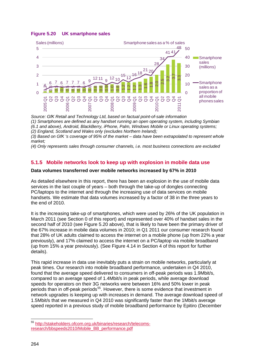## <span id="page-21-1"></span>**Figure 5.20 UK smartphone sales**



*Source: GfK Retail and Technology Ltd, based on factual point-of-sale information*

*(1) Smartphones are defined as any handset running an open operating system, including Symbian* 

*(6.1 and above), Android, BlackBerry, iPhone, Palm, Windows Mobile or Linux operating systems;* 

*(2) England, Scotland and Wales only (excludes Northern Ireland);* 

*(3) Based on GfK 's coverage of 95% of the market – data have been extrapolated to represent whole market;* 

*(4) Only represents sales through consumer channels, i.e. most business connections are excluded*

# <span id="page-21-0"></span>**5.1.5 Mobile networks look to keep up with explosion in mobile data use**

## **Data volumes transferred over mobile networks increased by 67% in 2010**

As detailed elsewhere in this report, there has been an explosion in the use of mobile data services in the last couple of years – both through the take-up of dongles connecting PC/laptops to the internet and through the increasing use of data services on mobile handsets. We estimate that data volumes increased by a factor of 38 in the three years to the end of 2010.

It is the increasing take-up of smartphones, which were used by 26% of the UK population in March 2011 (see Section 0 of this report) and represented over 40% of handset sales in the second half of 2010 (see [Figure 5.20](#page-21-1) above), that is likely to have been the primary driver of the 67% increase in mobile data volumes in 2010; in Q1 2011 our consumer research found that 28% of UK adults claimed to access the internet on a mobile phone (up from 22% a year previously), and 17% claimed to access the internet on a PC/laptop via mobile broadband (up from 15% a year previously). (See Figure 4.14 in Section 4 of this report for further details).

This rapid increase in data use inevitably puts a strain on mobile networks, particularly at peak times. Our research into mobile broadband performance, undertaken in Q4 2010, found that the average speed delivered to consumers in off-peak periods was 1.9Mbit/s, compared to an average speed of 1.4Mbit/s in peak periods, while average download speeds for operators on their 3G networks were between 16% and 50% lower in peak periods than in off-peak periods<sup>[55](#page-21-2)</sup>. However, there is some evidence that investment in network upgrades is keeping up with increases in demand. The average download speed of 1.5Mbit/s that we measured in Q4 2010 was significantly faster than the 1Mbit/s average speed reported in a previous study of mobile broadband performance by Epitiro (December research/bspeeds2010/Mobile\_BB\_performance.pdf<br>
interpretation and Technology Ltd, based on factual point-<br>
(6.1 and above). Android, BlackBerry, iPhone, Palm, Windows News<br>
(6.1 and above). Android, BlackBerry, iPhone, P

<span id="page-21-2"></span> <sup>55</sup> [http://stakeholders.ofcom.org.uk/binaries/research/telecoms-](http://stakeholders.ofcom.org.uk/binaries/research/telecoms-research/bbspeeds2010/Mobile_BB_performance.pdf)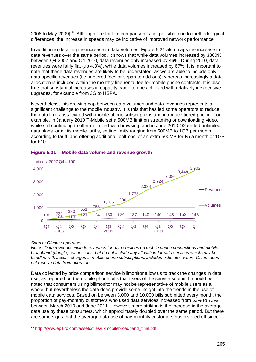2008 to May 2009)<sup>[56](#page-22-1)</sup>. Although like-for-like comparison is not possible due to methodological differences, the increase in speeds may be indicative of improved network performance.

In addition to detailing the increase in data volumes, [Figure 5.21](#page-22-0) also maps the increase in data revenues over the same period. It shows that while data volumes increased by 3800% between Q4 2007 and Q4 2010, data revenues only increased by 46%. During 2010, data revenues were fairly flat (up 4.3%), while data volumes increased by 67%. It is important to note that these data revenues are likely to be understated, as we are able to include only data-specific revenues (i.e. metered fees or separate add-ons), whereas increasingly a data allocation is included within the monthly line rental fee for mobile phone contracts. It is also true that substantial increases in capacity can often be achieved with relatively inexpensive upgrades, for example from 3G to HSPA.

Nevertheless, this growing gap between data volumes and data revenues represents a significant challenge to the mobile industry. It is this that has led some operators to reduce the data limits associated with mobile phone subscriptions and introduce tiered pricing. For example, in January 2010 T-Mobile set a 500MB limit on streaming or downloading video, while still continuing to offer unlimited web browsing; and in June 2010 O2 ended unlimited data plans for all its mobile tariffs, setting limits ranging from 500MB to 1GB per month according to tariff, and offering additional 'bolt-ons' of an extra 500MB for £5 a month or 1GB for £10.



## <span id="page-22-0"></span>**Figure 5.21 Mobile data volume and revenue growth**

#### *Source: Ofcom / operators*

*Notes: Data revenues include revenues for data services on mobile phone connections and mobile broadband (dongle) connections, but do not include any allocation for data services which may be bundled with access charges in mobile phone subscriptions; includes estimates where Ofcom does not receive data from operators*

Data collected by price comparison service billmonitor allow us to track the changes in data use, as reported on the mobile phone bills that users of the service submit. It should be noted that consumers using billmonitor may not be representative of mobile users as a whole, but nevertheless the data does provide some insight into the trends in the use of mobile data services. Based on between 3,000 and 10,000 bills submitted every month, the proportion of pay-monthly customers who used data services increased from 63% to 73% between March 2010 and June 2011. However, more striking is the increase in the average data use by these consumers, which approximately doubled over the same period. But there are some signs that the average data use of pay-monthly customers has levelled off since

<span id="page-22-1"></span> <sup>56</sup> [http://www.epitiro.com/assets/files/ukmobilebroadband\\_final.pdf](http://www.epitiro.com/assets/files/ukmobilebroadband_final.pdf)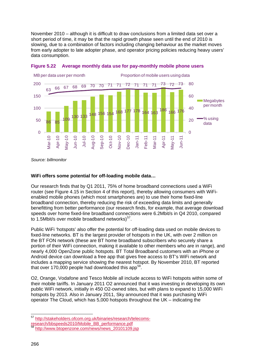November 2010 – although it is difficult to draw conclusions from a limited data set over a short period of time, it may be that the rapid growth phase seen until the end of 2010 is slowing, due to a combination of factors including changing behaviour as the market moves from early adopter to late adopter phase, and operator pricing policies reducing heavy users' data consumption.





*Source: billmonitor* 

#### **WiFi offers some potential for off-loading mobile data…**

Our research finds that by Q1 2011, 75% of home broadband connections used a WiFi router (see Figure 4.15 in Section 4 of this report), thereby allowing consumers with WiFienabled mobile phones (which most smartphones are) to use their home fixed-line broadband connection, thereby reducing the risk of exceeding data limits and generally benefitting from better performance (our research finds, for example, that average download speeds over home fixed-line broadband connections were 6.2Mbit/s in Q4 2010, compared to 1.5Mbit/s over mobile broadband networks) $57$ .

Public WiFi 'hotspots' also offer the potential for off-loading data used on mobile devices to fixed-line networks. BT is the largest provider of hotspots in the UK, with over 2 million on the BT FON network (these are BT home broadband subscribers who securely share a portion of their WiFi connection, making it available to other members who are in range), and nearly 4,000 OpenZone public hotspots. BT Total Broadband customers with an iPhone or Android device can download a free app that gives free access to BT's WiFi network and includes a mapping service showing the nearest hotspot. By November 2010, BT reported that over 170,000 people had downloaded this app<sup>[58](#page-23-1)</sup>.

O2, Orange, Vodafone and Tesco Mobile all include access to WiFi hotspots within some of their mobile tariffs. In January 2011 O2 announced that it was investing in developing its own public WiFi network, initially in 450 O2-owned sites, but with plans to expand to 15,000 WiFi hotspots by 2013. Also in January 2011, Sky announced that it was purchasing WiFi operator The Cloud, which has 5,000 hotspots throughout the UK – indicating the

<span id="page-23-0"></span> <sup>57</sup> [http://stakeholders.ofcom.org.uk/binaries/research/telecoms-](http://stakeholders.ofcom.org.uk/binaries/research/telecoms-research/bbspeeds2010/Mobile_BB_performance.pdf)

[research/bbspeeds2010/Mobile\\_BB\\_performance.pdf](http://stakeholders.ofcom.org.uk/binaries/research/telecoms-research/bbspeeds2010/Mobile_BB_performance.pdf)

<span id="page-23-1"></span>[http://www.btopenzone.com/news/news\\_20101109.jsp](http://www.btopenzone.com/news/news_20101109.jsp)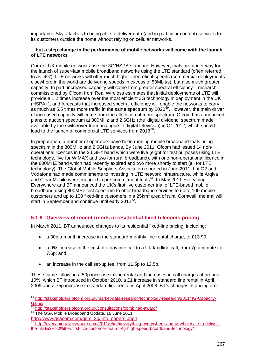importance Sky attaches to being able to deliver data (and in particular content) services to its customers outside the home without relying on cellular networks.

#### **…but a step change in the performance of mobile networks will come with the launch of LTE networks**

Current UK mobile networks use the 3G/HSPA standard. However, trials are under way for the launch of super-fast mobile broadband networks using the LTE standard (often referred to as '4G'). LTE networks will offer much higher theoretical speeds (commercial deployments elsewhere in the world are delivering speeds in excess of 50Mbit/s), but also much greater capacity. In part, increased capacity will come from greater spectral efficiency – research commissioned by Ofcom from Real Wireless estimates that initial deployments of LTE will provide a 1.2 times increase over the most efficient 3G technology in deployment in the UK (HSPA+), and forecasts that increased spectral efficiency will enable the networks to carry as much as 5.5 times more traffic in the same spectrum by 2020[59.](#page-24-1) However, the main driver of increased capacity will come from the allocation of more spectrum. Ofcom has announced plans to auction spectrum at 800MHz and 2.6GHz (the 'digital dividend' spectrum made available by the switchover from analogue to digital television) in Q1 2012, which should lead to the launch of commercial LTE services from 2013<sup>[60](#page-24-2)</sup>.

In preparation, a number of operators have been running mobile broadband trials using spectrum in the 800MHz and 2.6GHz bands. By June 2011, Ofcom had issued 14 nonoperational licences in the 2.6GHz band which were live (eight for test purposes using LTE technology, five for WIMAX and two for rural broadband), with one non-operational licence in the 800MHZ band which had recently expired and two more shortly to start (all for LTE technology). The Global Mobile Suppliers Association reported in June 2011 that O2 and Vodafone had made commitments to investing in LTE network infrastructure, while Arqiva and Clear Mobile were engaged in pre-commitment trials<sup>61</sup>. In May 2011 Everything Everywhere and BT announced the UK's first live customer trial of LTE-based mobile broadband using 800MHz test spectrum to offer broadband services to up to 100 mobile customers and up to 100 fixed-line customers in a  $25km^2$  area of rural Cornwall; the trial will start in September and continue until early 2012 $^{62}$  $^{62}$  $^{62}$ .

# <span id="page-24-0"></span>**5.1.6 Overview of recent trends in residential fixed telecoms pricing**

In March 2011, BT announced changes to its residential fixed-line pricing, including:

- a 30p a month increase in the standard monthly line rental charge, to £13.90;
- a 9% increase in the cost of a daytime call to a UK landline call, from 7p a minute to 7.6p; and
- an increase in the call set-up fee, from 11.5p to 12.5p.

These came following a 50p increase in line rental and increases in call charges of around 10%, which BT introduced in October 2010, a £1 increase in standard line rental in April 2009 and a 75p increase in standard line rental in April 2008. BT's changes in pricing are

<span id="page-24-1"></span> <sup>59</sup> [http://stakeholders.ofcom.org.uk/market-data-research/technology-research/2011/4G-Capacity-](http://stakeholders.ofcom.org.uk/market-data-research/technology-research/2011/4G-Capacity-Gains/) $\frac{\text{Gains}}{\text{60}}$ 

<span id="page-24-2"></span><http://stakeholders.ofcom.org.uk/consultations/combined-award/>

<span id="page-24-3"></span><sup>&</sup>lt;sup>61</sup> The GSA Mobile Broadband Update, 16 June 2011,

[http://www.gsacom.com/gsm\\_3g/info\\_papers.php4](http://www.gsacom.com/gsm_3g/info_papers.php4)

<span id="page-24-4"></span>[http://everythingeverywhere.com/2011/05/25/everything-everywhere-and-bt-wholesale-to-deliver](http://everythingeverywhere.com/2011/05/25/everything-everywhere-and-bt-wholesale-to-deliver-the-uk%e2%80%99s-first-live-customer-trial-of-4g-high-speed-broadband-technology/)[the-uk%e2%80%99s-first-live-customer-trial-of-4g-high-speed-broadband-technology/](http://everythingeverywhere.com/2011/05/25/everything-everywhere-and-bt-wholesale-to-deliver-the-uk%e2%80%99s-first-live-customer-trial-of-4g-high-speed-broadband-technology/)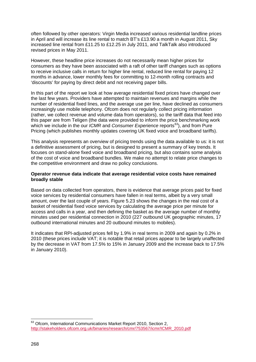often followed by other operators: Virgin Media increased various residential landline prices in April and will increase its line rental to match BT's £13.90 a month in August 2011, Sky increased line rental from £11.25 to £12.25 in July 2011, and TalkTalk also introduced revised prices in May 2011.

However, these headline price increases do not necessarily mean higher prices for consumers as they have been associated with a raft of other tariff changes such as options to receive inclusive calls in return for higher line rental, reduced line rental for paying 12 months in advance, lower monthly fees for committing to 12-month rolling contracts and 'discounts' for paying by direct debit and not receiving paper bills.

In this part of the report we look at how average residential fixed prices have changed over the last few years. Providers have attempted to maintain revenues and margins while the number of residential fixed lines, and the average use per line, have declined as consumers increasingly use mobile telephony. Ofcom does not regularly collect pricing information (rather, we collect revenue and volume data from operators), so the tariff data that feed into this paper are from Teligen (the data were provided to inform the price benchmarking work which we include in the our *ICMR* and *Consumer Experience* reports<sup>[63](#page-25-0)</sup>), and from Pure Pricing (which publishes monthly updates covering UK fixed voice and broadband tariffs).

This analysis represents an overview of pricing trends using the data available to us: it is not a definitive assessment of pricing, but is designed to present a summary of key trends. It focuses on stand-alone fixed voice and broadband pricing, but also contains some analysis of the cost of voice and broadband bundles. We make no attempt to relate price changes to the competitive environment and draw no policy conclusions.

#### **Operator revenue data indicate that average residential voice costs have remained broadly stable**

Based on data collected from operators, there is evidence that average prices paid for fixed voice services by residential consumers have fallen in real terms, albeit by a very small amount, over the last couple of years. [Figure 5.23](#page-26-0) shows the changes in the real cost of a basket of residential fixed voice services by calculating the average price per minute for access and calls in a year, and then defining the basket as the average number of monthly minutes used per residential connection in 2010 (227 outbound UK geographic minutes, 17 outbound international minutes and 20 outbound minutes to mobiles).

It indicates that RPI-adjusted prices fell by 1.9% in real terms in 2009 and again by 0.2% in 2010 (these prices include VAT; it is notable that retail prices appear to be largely unaffected by the decrease in VAT from 17.5% to 15% in January 2009 and the increase back to 17.5% in January 2010).

<span id="page-25-0"></span><sup>&</sup>lt;sup>63</sup> Ofcom, International Communications Market Report 2010, Section 2, [http://stakeholders.ofcom.org.uk/binaries/research/cmr/753567/icmr/ICMR\\_2010.pdf](http://stakeholders.ofcom.org.uk/binaries/research/cmr/753567/icmr/ICMR_2010.pdf)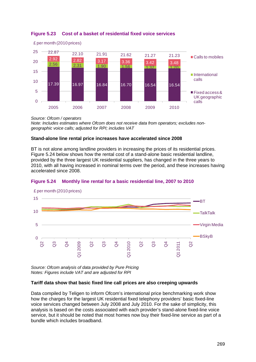

## <span id="page-26-0"></span>**Figure 5.23 Cost of a basket of residential fixed voice services**

*Source: Ofcom / operators*

*Note: Includes estimates where Ofcom does not receive data from operators; excludes nongeographic voice calls; adjusted for RPI; includes VAT*

## **Stand-alone line rental price increases have accelerated since 2008**

BT is not alone among landline providers in increasing the prices of its residential prices. [Figure 5.24](#page-26-1) below shows how the rental cost of a stand-alone basic residential landline, provided by the three largest UK residential suppliers, has changed in the three years to 2010, with all having increased in nominal terms over the period, and these increases having accelerated since 2008.

<span id="page-26-1"></span>



*Source: Ofcom analysis of data provided by Pure Pricing Notes: Figures include VAT and are adjusted for RPI*

## **Tariff data show that basic fixed line call prices are also creeping upwards**

Data compiled by Teligen to inform Ofcom's international price benchmarking work show how the charges for the largest UK residential fixed telephony providers' basic fixed-line voice services changed between July 2008 and July 2010. For the sake of simplicity, this analysis is based on the costs associated with each provider's stand-alone fixed-line voice service, but it should be noted that most homes now buy their fixed-line service as part of a bundle which includes broadband.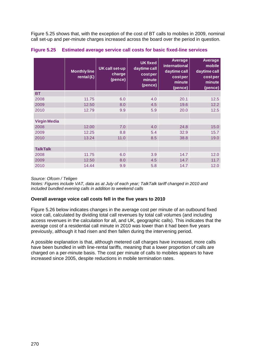[Figure 5.25](#page-27-0) shows that, with the exception of the cost of BT calls to mobiles in 2009, nominal call set-up and per-minute charges increased across the board over the period in question.

|                     | <b>Monthly line</b><br>rental $(E)$ | <b>UK call set-up</b><br>charge<br>(pence) | <b>UK</b> fixed<br>daytime call<br>costper<br>minute<br>(pence) | <b>Average</b><br>international<br>daytime call<br>costper<br>minute<br>(pence) | <b>Average</b><br>mobile<br>daytime call<br>costper<br>minute<br>(pence) |
|---------------------|-------------------------------------|--------------------------------------------|-----------------------------------------------------------------|---------------------------------------------------------------------------------|--------------------------------------------------------------------------|
| <b>BT</b>           |                                     |                                            |                                                                 |                                                                                 |                                                                          |
| 2008                | 11.75                               | 6.0                                        | 4.0                                                             | 20.1                                                                            | 12.5                                                                     |
| 2009                | 12.50                               | 8.0                                        | 4.5                                                             | 19.6                                                                            | 12.2                                                                     |
| 2010                | 12.79                               | 9.9                                        | 5.9                                                             | 20.0                                                                            | 12.5                                                                     |
|                     |                                     |                                            |                                                                 |                                                                                 |                                                                          |
| <b>Virgin Media</b> |                                     |                                            |                                                                 |                                                                                 |                                                                          |
| 2008                | 12.00                               | 7.0                                        | 4.0                                                             | 24.8                                                                            | 15.0                                                                     |
| 2009                | 12.25                               | 8.8                                        | 5.4                                                             | 32.9                                                                            | 15.7                                                                     |
| 2010                | 13.24                               | 11.0                                       | 8.5                                                             | 38.8                                                                            | 19.0                                                                     |
|                     |                                     |                                            |                                                                 |                                                                                 |                                                                          |
| <b>TalkTalk</b>     |                                     |                                            |                                                                 |                                                                                 |                                                                          |
| 2008                | 11.75                               | 6.0                                        | 3.9                                                             | 14.7                                                                            | 12.0                                                                     |
| 2009                | 12.50                               | 8.0                                        | 4.5                                                             | 14.7                                                                            | 11.7                                                                     |
| 2010                | 14.44                               | 9.9                                        | 5.8                                                             | 14.7                                                                            | 12.0                                                                     |

<span id="page-27-0"></span>**Figure 5.25 Estimated average service call costs for basic fixed-line services**

*Source: Ofcom / Teligen*

*Notes: Figures include VAT, data as at July of each year; TalkTalk tariff changed in 2010 and included bundled evening calls in addition to weekend calls*

## **Overall average voice call costs fell in the five years to 2010**

[Figure 5.26](#page-27-1) below indicates changes in the average cost per minute of an outbound fixed voice call, calculated by dividing total call revenues by total call volumes (and including access revenues in the calculation for all, and UK, geographic calls). This indicates that the average cost of a residential call minute in 2010 was lower than it had been five years previously, although it had risen and then fallen during the intervening period.

<span id="page-27-1"></span>A possible explanation is that, although metered call charges have increased, more calls have been bundled in with line-rental tariffs, meaning that a lower proportion of calls are charged on a per-minute basis. The cost per minute of calls to mobiles appears to have increased since 2005, despite reductions in mobile termination rates.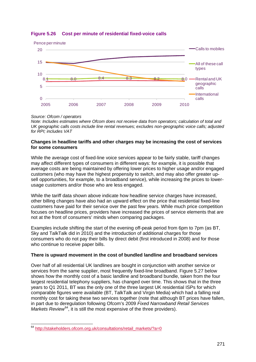

# **Figure 5.26 Cost per minute of residential fixed-voice calls**

#### *Source: Ofcom / operators*

*Note: Includes estimates where Ofcom does not receive data from operators; calculation of total and UK geographic calls costs include line rental revenues; excludes non-geographic voice calls; adjusted for RPI; includes VAT*

#### **Changes in headline tariffs and other charges may be increasing the cost of services for some consumers**

While the average cost of fixed-line voice services appear to be fairly stable, tariff changes may affect different types of consumers in different ways: for example, it is possible that average costs are being maintained by offering lower prices to higher usage and/or engaged customers (who may have the highest propensity to switch, and may also offer greater upsell opportunities, for example, to a broadband service), while increasing the prices to lowerusage customers and/or those who are less engaged.

While the tariff data shown above indicate how headline service charges have increased, other billing changes have also had an upward effect on the price that residential fixed-line customers have paid for their service over the past few years. While much price competition focuses on headline prices, providers have increased the prices of service elements that are not at the front of consumers' minds when comparing packages.

Examples include shifting the start of the evening off-peak period from 6pm to 7pm (as BT, Sky and TalkTalk did in 2010) and the introduction of additional charges for those consumers who do not pay their bills by direct debit (first introduced in 2008) and for those who continue to receive paper bills.

## **There is upward movement in the cost of bundled landline and broadband services**

Over half of all residential UK landlines are bought in conjunction with another service or services from the same supplier, most frequently fixed-line broadband. [Figure 5.27](#page-29-0) below shows how the monthly cost of a basic landline and broadband bundle, taken from the four largest residential telephony suppliers, has changed over time. This shows that in the three years to Q1 2011, BT was the only one of the three largest UK residential ISPs for which comparable figures were available (BT, TalkTalk and Virgin Media) which had a falling real monthly cost for taking these two services together (note that although BT prices have fallen, in part due to deregulation following Ofcom's 2009 *Fixed Narrowband Retail Services*  Markets Review<sup>[64](#page-28-0)</sup>, it is still the most expensive of the three providers).

<span id="page-28-0"></span> <sup>64</sup> [http://stakeholders.ofcom.org.uk/consultations/retail\\_markets/?a=0](http://stakeholders.ofcom.org.uk/consultations/retail_markets/?a=0)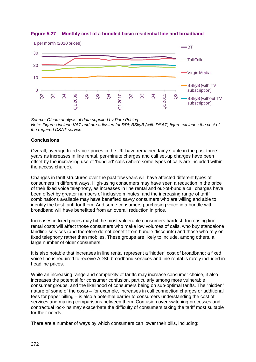

## <span id="page-29-0"></span>**Figure 5.27 Monthly cost of a bundled basic residential line and broadband**

*Source: Ofcom analysis of data supplied by Pure Pricing Note: Figures include VAT and are adjusted for RPI; BSkyB (with DSAT) figure excludes the cost of the required DSAT service*

# **Conclusions**

Overall, average fixed voice prices in the UK have remained fairly stable in the past three years as increases in line rental, per-minute charges and call set-up charges have been offset by the increasing use of 'bundled' calls (where some types of calls are included within the access charge).

Changes in tariff structures over the past few years will have affected different types of consumers in different ways. High-using consumers may have seen a reduction in the price of their fixed voice telephony, as increases in line rental and out-of-bundle call charges have been offset by greater numbers of inclusive minutes, and the increasing range of tariff combinations available may have benefited savvy consumers who are willing and able to identify the best tariff for them. And some consumers purchasing voice in a bundle with broadband will have benefitted from an overall reduction in price.

Increases in fixed prices may hit the most vulnerable consumers hardest. Increasing line rental costs will affect those consumers who make low volumes of calls, who buy standalone landline services (and therefore do not benefit from bundle discounts) and those who rely on fixed telephony rather than mobiles. These groups are likely to include, among others, a large number of older consumers.

It is also notable that increases in line rental represent a 'hidden' cost of broadband: a fixed voice line is required to receive ADSL broadband services and line rental is rarely included in headline prices.

While an increasing range and complexity of tariffs may increase consumer choice, it also increases the potential for consumer confusion, particularly among more vulnerable consumer groups, and the likelihood of consumers being on sub-optimal tariffs. The "hidden" nature of some of the costs – for example, increases in call connection charges or additional fees for paper billing – is also a potential barrier to consumers understanding the cost of services and making comparisons between them. Confusion over switching processes and contractual lock-ins may exacerbate the difficulty of consumers taking the tariff most suitable for their needs.

There are a number of ways by which consumers can lower their bills, including: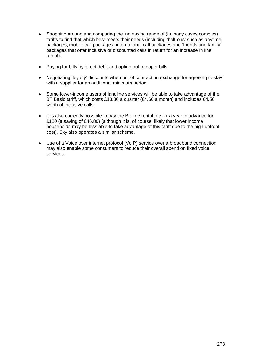- Shopping around and comparing the increasing range of (in many cases complex) tariffs to find that which best meets their needs (including 'bolt-ons' such as anytime packages, mobile call packages, international call packages and 'friends and family' packages that offer inclusive or discounted calls in return for an increase in line rental).
- Paying for bills by direct debit and opting out of paper bills.
- Negotiating 'loyalty' discounts when out of contract, in exchange for agreeing to stay with a supplier for an additional minimum period.
- Some lower-income users of landline services will be able to take advantage of the BT Basic tariff, which costs £13.80 a quarter (£4.60 a month) and includes £4.50 worth of inclusive calls.
- It is also currently possible to pay the BT line rental fee for a year in advance for £120 (a saving of £46.80) (although it is, of course, likely that lower income households may be less able to take advantage of this tariff due to the high upfront cost). Sky also operates a similar scheme.
- Use of a Voice over internet protocol (VoIP) service over a broadband connection may also enable some consumers to reduce their overall spend on fixed voice services.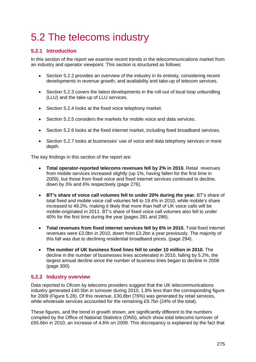# <span id="page-32-0"></span>5.2 The telecoms industry

# <span id="page-32-1"></span>**5.2.1 Introduction**

In this section of the report we examine recent trends in the telecommunications market from an industry and operator viewpoint. This section is structured as follows:

- Section [5.2.2](#page-32-2) provides an overview of the industry in its entirety, considering recent developments in revenue growth, and availability and take-up of telecom services.
- Section [5.2.3](#page-38-0) covers the latest developments in the roll-out of local loop unbundling (LLU) and the take-up of LLU services.
- Section [5.2.4](#page-40-0) looks at the fixed voice telephony market.
- Section [5.2.5](#page-45-0) considers the markets for mobile voice and data services.
- Section [5.2.6](#page-51-0) looks at the fixed internet market, including fixed broadband services.
- Section [5.2.7](#page-54-0) looks at businesses' use of voice and data telephony services in more depth.

The key findings in this section of the report are:

- **Total operator-reported telecoms revenues fell by 2% in 2010.** Retail revenues from mobile services increased slightly (up 1%, having fallen for the first time in 2009), but those from fixed voice and fixed internet services continued to decline, down by 3% and 6% respectively (page [276\)](#page-33-0).
- **BT's share of voice call volumes fell to under 20% during the year.** BT's share of total fixed and mobile voice call volumes fell to 19.4% in 2010, while mobile's share increased to 49.2%, making it likely that more than half of UK voice calls will be mobile-originated in 2011. BT's share of fixed voice call volumes also fell to under 40% for the first time during the year (pages [281](#page-38-1) and [286\)](#page-43-0).
- **Total revenues from fixed internet services fell by 6% in 2010.** Total fixed internet revenues were £3.0bn in 2010, down from £3.2bn a year previously. The majority of this fall was due to declining residential broadband prices. (page [294\)](#page-51-1).
- **The number of UK business fixed lines fell to under 10 million in 2010.** The decline in the number of businesses lines accelerated in 2010, falling by 5.2%, the largest annual decline since the number of business lines began to decline in 2008 (page [300\)](#page-57-0).

# <span id="page-32-2"></span>**5.2.2 Industry overview**

Data reported to Ofcom by telecoms providers suggest that the UK telecommunications industry generated £40.5bn in turnover during 2010, 1.8% less than the corresponding figure for 2009 [\(Figure 5.28\)](#page-33-0). Of this revenue, £30.8bn (76%) was generated by retail services, while wholesale services accounted for the remaining £9.7bn (24% of the total).

These figures, and the trend in growth shown, are significantly different to the numbers compiled by the Office of National Statistics (ONS), which show total telecoms turnover of £65.6bn in 2010, an increase of 4.6% on 2009. This discrepancy is explained by the fact that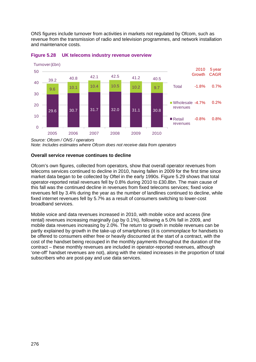ONS figures include turnover from activities in markets not regulated by Ofcom, such as revenue from the transmission of radio and television programmes, and network installation and maintenance costs.



#### <span id="page-33-0"></span>**Figure 5.28 UK telecoms industry revenue overview**

*Source: Ofcom / ONS / operators*

*Note: Includes estimates where Ofcom does not receive data from operators*

## **Overall service revenue continues to decline**

Ofcom's own figures, collected from operators, show that overall operator revenues from telecoms services continued to decline in 2010, having fallen in 2009 for the first time since market data began to be collected by Oftel in the early 1990s. [Figure 5.29](#page-34-0) shows that total operator-reported retail revenues fell by 0.8% during 2010 to £30.8bn. The main cause of this fall was the continued decline in revenues from fixed telecoms services; fixed voice revenues fell by 3.4% during the year as the number of landlines continued to decline, while fixed internet revenues fell by 5.7% as a result of consumers switching to lower-cost broadband services.

Mobile voice and data revenues increased in 2010, with mobile voice and access (line rental) revenues increasing marginally (up by 0.1%), following a 5.0% fall in 2009, and mobile data revenues increasing by 2.0%. The return to growth in mobile revenues can be partly explained by growth in the take-up of smartphones (it is commonplace for handsets to be offered to consumers either free or heavily discounted at the start of a contract, with the cost of the handset being recouped in the monthly payments throughout the duration of the contract – these monthly revenues are included in operator-reported revenues, although 'one-off' handset revenues are not), along with the related increases in the proportion of total subscribers who are post-pay and use data services.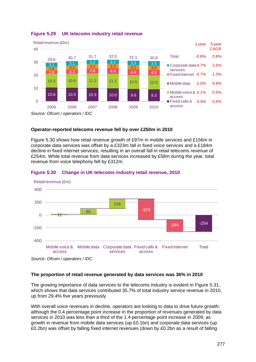

## <span id="page-34-0"></span>**Figure 5.29 UK telecoms industry retail revenue**

## **Operator-reported telecoms revenue fell by over £250m in 2010**

[Figure 5.30](#page-34-1) shows how retail revenue growth of £97m in mobile services and £156m in corporate data services was offset by a £323m fall in fixed voice services and a £184m decline in fixed internet services, resulting in an overall fall in retail telecoms revenue of £254m. While total revenue from data services increased by £58m during the year, total revenue from voice telephony fell by £312m.



#### <span id="page-34-1"></span>**Figure 5.30 Change in UK telecoms industry retail revenue, 2010**

#### **The proportion of retail revenue generated by data services was 36% in 2010**

The growing importance of data services to the telecoms industry is evident in Figure 5.31. which shows that data services contributed 35.7% of total industry service revenue in 2010, up from 29.4% five years previously.

With overall voice revenues in decline, operators are looking to data to drive future growth; although the 0.4 percentage point increase in the proportion of revenues generated by data services in 2010 was less than a third of the 1.4 percentage point increase in 2009, as growth in revenue from mobile data services (up £0.1bn) and corporate data services (up £0.2bn) was offset by falling fixed internet revenues (down by £0.2bn as a result of falling

*Source: Ofcom / operators / IDC*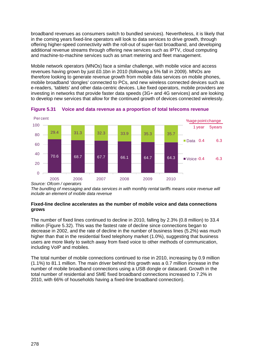broadband revenues as consumers switch to bundled services). Nevertheless, it is likely that in the coming years fixed-line operators will look to data services to drive growth, through offering higher-speed connectivity with the roll-out of super-fast broadband, and developing additional revenue streams through offering new services such as IPTV, cloud computing and machine-to-machine services such as smart metering and fleet management.

Mobile network operators (MNOs) face a similar challenge, with mobile voice and access revenues having grown by just £0.1bn in 2010 (following a 5% fall in 2009). MNOs are therefore looking to generate revenue growth from mobile data services on mobile phones, mobile broadband 'dongles' connected to PCs, and new wireless connected devices such as e-readers, 'tablets' and other data-centric devices. Like fixed operators, mobile providers are investing in networks that provide faster data speeds (3G+ and 4G services) and are looking to develop new services that allow for the continued growth of devices connected wirelessly.



<span id="page-35-0"></span>**Figure 5.31 Voice and data revenue as a proportion of total telecoms revenue**

*The bundling of messaging and data services in with monthly rental tariffs means voice revenue will include an element of mobile data revenue*

## **Fixed-line decline accelerates as the number of mobile voice and data connections grows**

The number of fixed lines continued to decline in 2010, falling by 2.3% (0.8 million) to 33.4 million [\(Figure 5.32\)](#page-36-0). This was the fastest rate of decline since connections began to decrease in 2002, and the rate of decline in the number of business lines (5.2%) was much higher than that in the residential fixed telephony market (1.0%), suggesting that business users are more likely to switch away from fixed voice to other methods of communication, including VoIP and mobiles.

The total number of mobile connections continued to rise in 2010, increasing by 0.9 million (1.1%) to 81.1 million. The main driver behind this growth was a 0.7 million increase in the number of mobile broadband connections using a USB dongle or datacard. Growth in the total number of residential and SME fixed broadband connections increased to 7.2% in 2010, with 66% of households having a fixed-line broadband connection).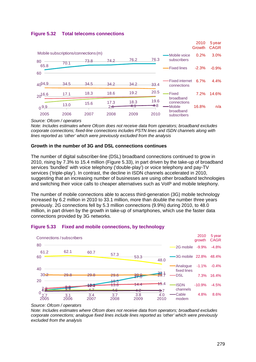



#### *Source: Ofcom / operators*

*Note: Includes estimates where Ofcom does not receive data from operators; broadband excludes corporate connections; fixed-line connections includes PSTN lines and ISDN channels along with lines reported as 'other' which were previously excluded from the analysis*

#### **Growth in the number of 3G and DSL connections continues**

The number of digital subscriber-line (DSL) broadband connections continued to grow in 2010, rising by 7.3% to 15.4 million [\(Figure 5.33\)](#page-36-0), in part driven by the take-up of broadband services 'bundled' with voice telephony ('double-play') or voice telephony and pay-TV services ('triple-play'). In contrast, the decline in ISDN channels accelerated in 2010, suggesting that an increasing number of businesses are using other broadband technologies and switching their voice calls to cheaper alternatives such as VoIP and mobile telephony.

The number of mobile connections able to access third-generation (3G) mobile technology increased by 6.2 million in 2010 to 33.1 million, more than double the number three years previously. 2G connections fell by 5.3 million connections (9.9%) during 2010, to 48.0 million, in part driven by the growth in take-up of smartphones, which use the faster data connections provided by 3G networks.



#### <span id="page-36-0"></span>**Figure 5.33 Fixed and mobile connections, by technology**

*Note: Includes estimates where Ofcom does not receive data from operators; broadband excludes corporate connections; analogue fixed lines include lines reported as 'other' which were previously excluded from the analysis*

*Source: Ofcom / operators*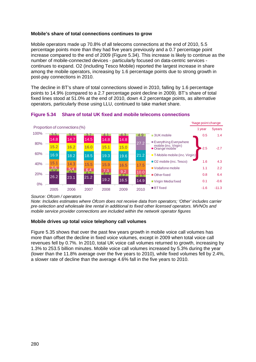## **Mobile's share of total connections continues to grow**

Mobile operators made up 70.8% of all telecoms connections at the end of 2010, 5.5 percentage points more than they had five years previously and a 0.7 percentage point increase compared to the end of 2009 [\(Figure 5.34\)](#page-37-0). This increase is likely to continue as the number of mobile-connected devices - particularly focused on data-centric services continues to expand. O2 (including Tesco Mobile) reported the largest increase in share among the mobile operators, increasing by 1.6 percentage points due to strong growth in post-pay connections in 2010.

The decline in BT's share of total connections slowed in 2010, falling by 1.6 percentage points to 14.9% (compared to a 2.7 percentage point decline in 2009). BT's share of total fixed lines stood at 51.0% at the end of 2010, down 4.2 percentage points, as alternative operators, particularly those using LLU, continued to take market share.



## <span id="page-37-0"></span>**Figure 5.34 Share of total UK fixed and mobile telecoms connections**

*Source: Ofcom / operators*

*Note: Includes estimates where Ofcom does not receive data from operators; 'Other' includes carrier pre-selection and wholesale line rental in additional to fixed other licensed operators. MVNOs and mobile service provider connections are included within the network operator figures*

## **Mobile drives up total voice telephony call volumes**

[Figure 5.35](#page-38-0) shows that over the past few years growth in mobile voice call volumes has more than offset the decline in fixed voice volumes, except in 2009 when total voice call revenues fell by 0.7%. In 2010, total UK voice call volumes returned to growth, increasing by 1.3% to 253.5 billion minutes. Mobile voice call volumes increased by 5.3% during the year (lower than the 11.8% average over the five years to 2010), while fixed volumes fell by 2.4%, a slower rate of decline than the average 4.6% fall in the five years to 2010.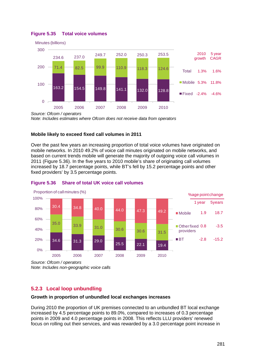

## <span id="page-38-0"></span>**Figure 5.35 Total voice volumes**

*Note: Includes estimates where Ofcom does not receive data from operators*

## **Mobile likely to exceed fixed call volumes in 2011**

Over the past few years an increasing proportion of total voice volumes have originated on mobile networks. In 2010 49.2% of voice call minutes originated on mobile networks, and based on current trends mobile will generate the majority of outgoing voice call volumes in 2011 [\(Figure 5.36\)](#page-38-1). In the five years to 2010 mobile's share of originating call volumes increased by 18.7 percentage points, while BT's fell by 15.2 percentage points and other fixed providers' by 3.5 percentage points.



## <span id="page-38-1"></span>**Figure 5.36 Share of total UK voice call volumes**

*Source: Ofcom / operators Note: Includes non-geographic voice calls*

# **5.2.3 Local loop unbundling**

## **Growth in proportion of unbundled local exchanges increases**

During 2010 the proportion of UK premises connected to an unbundled BT local exchange increased by 4.5 percentage points to 89.0%, compared to increases of 0.3 percentage points in 2009 and 4.0 percentage points in 2008. This reflects LLU providers' renewed focus on rolling out their services, and was rewarded by a 3.0 percentage point increase in

*Source: Ofcom / operators*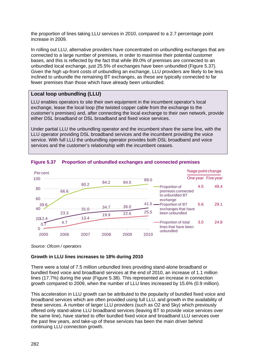the proportion of lines taking LLU services in 2010, compared to a 2.7 percentage point increase in 2009.

In rolling out LLU, alternative providers have concentrated on unbundling exchanges that are connected to a large number of premises, in order to maximise their potential customer bases, and this is reflected by the fact that while 89.0% of premises are connected to an unbundled local exchange, just 25.5% of exchanges have been unbundled [\(Figure 5.37\)](#page-39-0). Given the high up-front costs of unbundling an exchange, LLU providers are likely to be less inclined to unbundle the remaining BT exchanges, as these are typically connected to far fewer premises than those which have already been unbundled.

# **Local loop unbundling (LLU)**

LLU enables operators to site their own equipment in the incumbent operator's local exchange, lease the local loop (the twisted copper cable from the exchange to the customer's premises) and, after connecting the local exchange to their own network, provide either DSL broadband or DSL broadband and fixed voice services.

Under partial LLU the unbundling operator and the incumbent share the same line, with the LLU operator providing DSL broadband services and the incumbent providing the voice service. With full LLU the unbundling operator provides both DSL broadband and voice services and the customer's relationship with the incumbent ceases.



## <span id="page-39-0"></span>**Figure 5.37 Proportion of unbundled exchanges and connected premises**

*Source: Ofcom / operators*

## **Growth in LLU lines increases to 18% during 2010**

There were a total of 7.5 million unbundled lines providing stand-alone broadband or bundled fixed voice and broadband services at the end of 2010, an increase of 1.1 million lines (17.7%) during the year [\(Figure 5.38\)](#page-40-0). This represented an increase in connection growth compared to 2009, when the number of LLU lines increased by 15.6% (0.9 million).

This acceleration in LLU growth can be attributed to the popularity of bundled fixed voice and broadband services which are often provided using full LLU, and growth in the availability of these services. A number of larger LLU providers (such as O2 and Sky) which previously offered only stand-alone LLU broadband services (leaving BT to provide voice services over the same line), have started to offer bundled fixed voice and broadband LLU services over the past few years, and take-up of these services has been the main driver behind continuing LLU connection growth.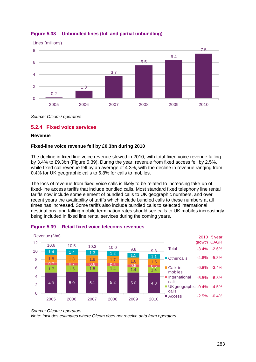

# <span id="page-40-0"></span>**Figure 5.38 Unbundled lines (full and partial unbundling)**

*Source: Ofcom / operators*

## **5.2.4 Fixed voice services**

#### **Revenue**

## **Fixed-line voice revenue fell by £0.3bn during 2010**

The decline in fixed line voice revenue slowed in 2010, with total fixed voice revenue falling by 3.4% to £9.3bn [\(Figure 5.39\)](#page-40-1). During the year, revenue from fixed access fell by 2.5%, while fixed call revenue fell by an average of 4.3%, with the decline in revenue ranging from 0.4% for UK geographic calls to 6.8% for calls to mobiles.

The loss of revenue from fixed voice calls is likely to be related to increasing take-up of fixed-line access tariffs that include bundled calls. Most standard fixed telephony line rental tariffs now include some element of bundled calls to UK geographic numbers, and over recent years the availability of tariffs which include bundled calls to these numbers at all times has increased. Some tariffs also include bundled calls to selected international destinations, and falling mobile termination rates should see calls to UK mobiles increasingly being included in fixed line rental services during the coming years.



## <span id="page-40-1"></span>**Figure 5.39 Retail fixed voice telecoms revenues**

*Note: Includes estimates where Ofcom does not receive data from operators*

*Source: Ofcom / operators*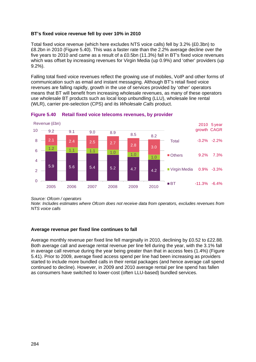## **BT's fixed voice revenue fell by over 10% in 2010**

Total fixed voice revenue (which here excludes NTS voice calls) fell by 3.2% (£0.3bn) to £8.2bn in 2010 [\(Figure 5.40\)](#page-41-0). This was a faster rate than the 2.2% average decline over the five years to 2010 and came as a result of a £0.5bn (11.3%) fall in BT's fixed voice revenues which was offset by increasing revenues for Virgin Media (up 0.9%) and 'other' providers (up 9.2%).

Falling total fixed voice revenues reflect the growing use of mobiles, VoIP and other forms of communication such as email and instant messaging. Although BT's retail fixed voice revenues are falling rapidly, growth in the use of services provided by 'other' operators means that BT will benefit from increasing wholesale revenues, as many of these operators use wholesale BT products such as local loop unbundling (LLU), wholesale line rental (WLR), carrier pre-selection (CPS) and its *Wholesale Calls* product.



<span id="page-41-0"></span>

*Source: Ofcom / operators*

*Note: Includes estimates where Ofcom does not receive data from operators, excludes revenues from NTS voice calls*

## **Average revenue per fixed line continues to fall**

Average monthly revenue per fixed line fell marginally in 2010, declining by £0.52 to £22.88. Both average call and average rental revenue per line fell during the year, with the 3.1% fall in average call revenue during the year being greater than that in access fees (1.4%) [\(Figure](#page-42-0)  [5.41\)](#page-42-0). Prior to 2009, average fixed access spend per line had been increasing as providers started to include more bundled calls in their rental packages (and hence average call spend continued to decline). However, in 2009 and 2010 average rental per line spend has fallen as consumers have switched to lower-cost (often LLU-based) bundled services.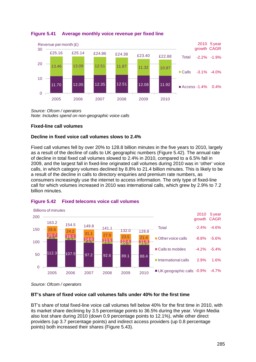

## <span id="page-42-0"></span>**Figure 5.41 Average monthly voice revenue per fixed line**

*Source: Ofcom / operators Note: Includes spend on non-geographic voice calls*

## **Fixed-line call volumes**

## **Decline in fixed voice call volumes slows to 2.4%**

Fixed call volumes fell by over 20% to 128.8 billion minutes in the five years to 2010, largely as a result of the decline of calls to UK geographic numbers [\(Figure 5.42\)](#page-42-1). The annual rate of decline in total fixed call volumes slowed to 2.4% in 2010, compared to a 6.5% fall in 2009, and the largest fall in fixed-line originated call volumes during 2010 was in 'other' voice calls, in which category volumes declined by 8.8% to 21.4 billion minutes. This is likely to be a result of the decline in calls to directory enquiries and premium rate numbers, as consumers increasingly use the internet to access information. The only type of fixed-line call for which volumes increased in 2010 was international calls, which grew by 2.9% to 7.2 billion minutes.



## <span id="page-42-1"></span>**Figure 5.42 Fixed telecoms voice call volumes**

*Source: Ofcom / operators*

## **BT's share of fixed voice call volumes falls under 40% for the first time**

BT's share of total fixed-line voice call volumes fell below 40% for the first time in 2010, with its market share declining by 3.5 percentage points to 36.5% during the year. Virgin Media also lost share during 2010 (down 0.9 percentage points to 12.1%), while other direct providers (up 3.7 percentage points) and indirect access providers (up 0.8 percentage points) both increased their shares [\(Figure 5.43\)](#page-43-0).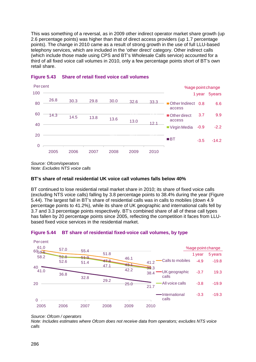This was something of a reversal, as in 2009 other indirect operator market share growth (up 2.6 percentage points) was higher than that of direct access providers (up 1.7 percentage points). The change in 2010 came as a result of strong growth in the use of full LLU-based telephony services, which are included in the 'other direct' category. Other indirect calls (which include those made using CPS and BT's Wholesale Calls service) accounted for a third of all fixed voice call volumes in 2010, only a few percentage points short of BT's own retail share.



## <span id="page-43-0"></span>**Figure 5.43 Share of retail fixed voice call volumes**

*Source: Ofcom/operators Note: Excludes NTS voice calls*

## **BT's share of retail residential UK voice call volumes falls below 40%**

BT continued to lose residential retail market share in 2010; its share of fixed voice calls (excluding NTS voice calls) falling by 3.8 percentage points to 38.4% during the year [\(Figure](#page-43-1)  [5.44\)](#page-43-1). The largest fall in BT's share of residential calls was in calls to mobiles (down 4.9 percentage points to 41.2%), while its share of UK geographic and international calls fell by 3.7 and 3.3 percentage points respectively. BT's combined share of all of these call types has fallen by 20 percentage points since 2005, reflecting the competition it faces from LLUbased fixed voice services in the residential market.



#### <span id="page-43-1"></span>**Figure 5.44 BT share of residential fixed-voice call volumes, by type**

*Note: Includes estimates where Ofcom does not receive data from operators; excludes NTS voice calls*

*Source: Ofcom / operators*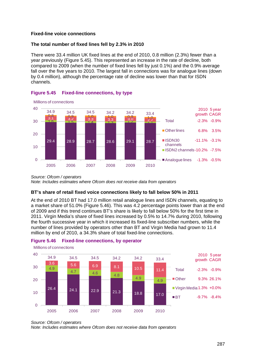## **Fixed-line voice connections**

## **The total number of fixed lines fell by 2.3% in 2010**

There were 33.4 million UK fixed lines at the end of 2010, 0.8 million (2.3%) fewer than a year previously [\(Figure 5.45\)](#page-44-0). This represented an increase in the rate of decline, both compared to 2009 (when the number of fixed lines fell by just 0.1%) and the 0.9% average fall over the five years to 2010. The largest fall in connections was for analogue lines (down by 0.4 million), although the percentage rate of decline was lower than that for ISDN channels.



## <span id="page-44-0"></span>**Figure 5.45 Fixed-line connections, by type**

*Source: Ofcom / operators Note: Includes estimates where Ofcom does not receive data from operators*

## **BT's share of retail fixed voice connections likely to fall below 50% in 2011**

At the end of 2010 BT had 17.0 million retail analogue lines and ISDN channels, equating to a market share of 51.0% [\(Figure 5.46\)](#page-44-1). This was 4.2 percentage points lower than at the end of 2009 and if this trend continues BT's share is likely to fall below 50% for the first time in 2011. Virgin Media's share of fixed lines increased by 0.5% to 14.7% during 2010, following the fourth successive year in which it increased its fixed-line subscriber numbers, while the number of lines provided by operators other than BT and Virgin Media had grown to 11.4 million by end of 2010, a 34.3% share of total fixed-line connections.



## <span id="page-44-1"></span>**Figure 5.46 Fixed-line connections, by operator**

*Note: Includes estimates where Ofcom does not receive data from operators*

*Source: Ofcom / operators*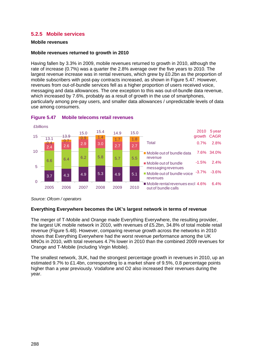# **5.2.5 Mobile services**

#### **Mobile revenues**

#### **Mobile revenues returned to growth in 2010**

Having fallen by 3.3% in 2009, mobile revenues returned to growth in 2010, although the rate of increase (0.7%) was a quarter the 2.8% average over the five years to 2010. The largest revenue increase was in rental revenues, which grew by £0.2bn as the proportion of mobile subscribers with post-pay contracts increased, as shown in [Figure 5.47.](#page-45-0) However, revenues from out-of-bundle services fell as a higher proportion of users received voice, messaging and data allowances. The one exception to this was out-of-bundle data revenue, which increased by 7.6%, probably as a result of growth in the use of smartphones, particularly among pre-pay users, and smaller data allowances / unpredictable levels of data use among consumers.



#### <span id="page-45-0"></span>**Figure 5.47 Mobile telecoms retail revenues**

#### **Everything Everywhere becomes the UK's largest network in terms of revenue**

The merger of T-Mobile and Orange made Everything Everywhere, the resulting provider, the largest UK mobile network in 2010, with revenues of £5.2bn, 34.8% of total mobile retail revenue [\(Figure 5.48\)](#page-46-0). However, comparing revenue growth across the networks in 2010 shows that Everything Everywhere had the worst revenue performance among the UK MNOs in 2010, with total revenues 4.7% lower in 2010 than the combined 2009 revenues for Orange and T-Mobile (including Virgin Mobile).

The smallest network, 3UK, had the strongest percentage growth in revenues in 2010, up an estimated 9.7% to £1.4bn, corresponding to a market share of 9.5%, 0.8 percentage points higher than a year previously. Vodafone and O2 also increased their revenues during the year.

*Source: Ofcom / operators*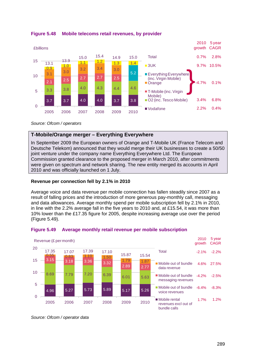

<span id="page-46-0"></span>

*Source: Ofcom / operators*

# **T-Mobile/Orange merger – Everything Everywhere**

In September 2009 the European owners of Orange and T-Mobile UK (France Telecom and Deutsche Telekom) announced that they would merge their UK businesses to create a 50/50 joint venture under the company name Everything Everywhere Ltd. The European Commission granted clearance to the proposed merger in March 2010, after commitments were given on spectrum and network sharing. The new entity merged its accounts in April 2010 and was officially launched on 1 July.

## **Revenue per connection fell by 2.1% in 2010**

Average voice and data revenue per mobile connection has fallen steadily since 2007 as a result of falling prices and the introduction of more generous pay-monthly call, messaging and data allowances. Average monthly spend per mobile subscription fell by 2.1% in 2010, in line with the 2.2% average fall in the five years to 2010 and, at £15.54, it was more than 10% lower than the £17.35 figure for 2005, despite increasing average use over the period [\(Figure 5.49\)](#page-46-1).



## <span id="page-46-1"></span>**Figure 5.49 Average monthly retail revenue per mobile subscription**

*Source: Ofcom / operator data*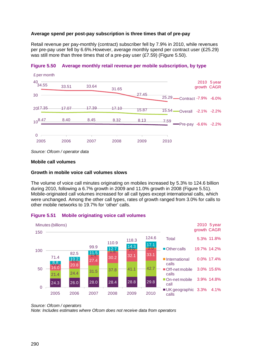## **Average spend per post-pay subscription is three times that of pre-pay**

Retail revenue per pay-monthly (contract) subscriber fell by 7.9% in 2010, while revenues per pre-pay user fell by 6.6%.However, average monthly spend per contract user (£25.29) was still more than three times that of a pre-pay user (£7.59) [\(Figure 5.50\)](#page-47-0).



#### <span id="page-47-0"></span>**Figure 5.50 Average monthly retail revenue per mobile subscription, by type**

*Source: Ofcom / operator data*

#### **Mobile call volumes**

#### **Growth in mobile voice call volumes slows**

The volume of voice call minutes originating on mobiles increased by 5.3% to 124.6 billion during 2010, following a 6.7% growth in 2009 and 11.0% growth in 2008 [\(Figure 5.51\)](#page-47-1). Mobile-originated call volumes increased for all call types except international calls, which were unchanged. Among the other call types, rates of growth ranged from 3.0% for calls to other mobile networks to 19.7% for 'other' calls.



#### <span id="page-47-1"></span>**Figure 5.51 Mobile originating voice call volumes**

*Source: Ofcom / operators Note: Includes estimates where Ofcom does not receive data from operators*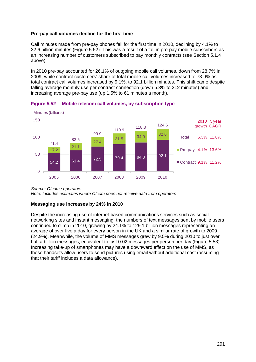## **Pre-pay call volumes decline for the first time**

Call minutes made from pre-pay phones fell for the first time in 2010, declining by 4.1% to 32.6 billion minutes [\(Figure 5.52\)](#page-48-0). This was a result of a fall in pre-pay mobile subscribers as an increasing number of customers subscribed to pay monthly contracts (see Section [5.1.4](#page-16-0) above).

In 2010 pre-pay accounted for 26.1% of outgoing mobile call volumes, down from 28.7% in 2009, while contract customers' share of total mobile call volumes increased to 73.9% as total contract call volumes increased by 9.1%, to 92.1 billion minutes. This shift came despite falling average monthly use per contract connection (down 5.3% to 212 minutes) and increasing average pre-pay use (up 1.5% to 61 minutes a month).



<span id="page-48-0"></span>

*Source: Ofcom / operators*

*Note: Includes estimates where Ofcom does not receive data from operators*

## **Messaging use increases by 24% in 2010**

Despite the increasing use of internet-based communications services such as social networking sites and instant messaging, the numbers of text messages sent by mobile users continued to climb in 2010, growing by 24.1% to 129.1 billion messages representing an average of over five a day for every person in the UK and a similar rate of growth to 2009 (24.9%). Meanwhile, the volume of MMS messages grew by 9.5% during 2010 to just over half a billion messages, equivalent to just 0.02 messages per person per day [\(Figure 5.53\)](#page-49-0). Increasing take-up of smartphones may have a downward effect on the use of MMS, as these handsets allow users to send pictures using email without additional cost (assuming that their tariff includes a data allowance).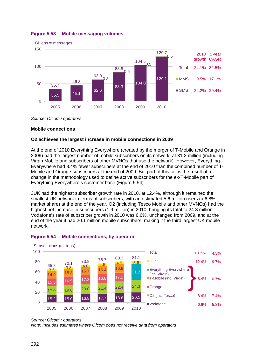

# <span id="page-49-0"></span>**Figure 5.53 Mobile messaging volumes**

*Source: Ofcom / operators*

## **Mobile connections**

## **O2 achieves the largest increase in mobile connections in 2009**

At the end of 2010 Everything Everywhere (created by the merger of T-Mobile and Orange in 2009) had the largest number of mobile subscribers on its network, at 31.2 million (including Virgin Mobile and subscribers of other MVNOs that use the network). However, Everything Everywhere had 8.4% fewer subscribers at the end of 2010 than the combined number of T-Mobile and Orange subscribers at the end of 2009. But part of this fall is the result of a change in the methodology used to define active subscribers for the ex-T-Mobile part of Everything Everywhere's customer base [\(Figure 5.54\)](#page-49-1).

3UK had the highest subscriber growth rate in 2010, at 12.4%, although it remained the smallest UK network in terms of subscribers, with an estimated 5.6 million users (a 6.8% market share) at the end of the year. O2 (including Tesco Mobile and other MVNOs) had the highest net increase in subscribers (1.9 million) in 2010, bringing its total to 24.3 million. Vodafone's rate of subscriber growth in 2010 was 6.6%, unchanged from 2009, and at the end of the year it had 20.1 million mobile subscribers, making it the third largest UK mobile network.



## <span id="page-49-1"></span>**Figure 5.54 Mobile connections, by operator**

*Note: Includes estimates where Ofcom does not receive data from operators*

*Source: Ofcom / operators*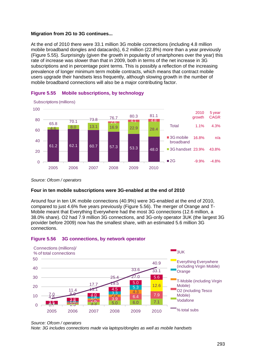#### **Migration from 2G to 3G continues...**

At the end of 2010 there were 33.1 million 3G mobile connections (including 4.8 million mobile broadband dongles and datacards), 6.2 million (22.8%) more than a year previously [\(Figure 5.55\)](#page-50-0). Surprisingly (given the growth in popularity of smartphones over the year) this rate of increase was slower than that in 2009, both in terms of the net increase in 3G subscriptions and in percentage point terms. This is possibly a reflection of the increasing prevalence of longer minimum term mobile contracts, which means that contract mobile users upgrade their handsets less frequently, although slowing growth in the number of mobile broadband connections will also be a major contributing factor.



<span id="page-50-0"></span>

## **Four in ten mobile subscriptions were 3G-enabled at the end of 2010**

Around four in ten UK mobile connections (40.9%) were 3G-enabled at the end of 2010, compared to just 4.6% five years previously [\(Figure 5.56\)](#page-50-1). The merger of Orange and T-Mobile meant that Everything Everywhere had the most 3G connections (12.6 million, a 38.0% share). O2 had 7.9 million 3G connections, and 3G-only operator 3UK (the largest 3G provider before 2009) now has the smallest share, with an estimated 5.6 million 3G connections.

## <span id="page-50-1"></span>**Figure 5.56 3G connections, by network operator**



*Source: Ofcom / operators*

*Note: 3G includes connections made via laptops/dongles as well as mobile handsets*

*Source: Ofcom / operators*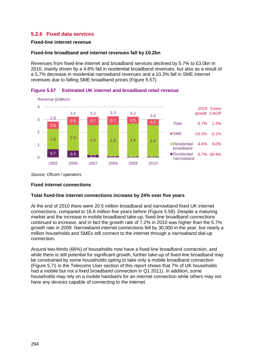# **5.2.6 Fixed data services**

#### **Fixed-line internet revenue**

#### **Fixed-line broadband and internet revenues fall by £0.2bn**

Revenues from fixed-line internet and broadband services declined by 5.7% to £3.0bn in 2010, mainly driven by a 4.8% fall in residential broadband revenues, but also as a result of a 5.7% decrease in residential narrowband revenues and a 10.3% fall in SME internet revenues due to falling SME broadband prices [\(Figure 5.57\)](#page-51-0).



<span id="page-51-0"></span>**Figure 5.57 Estimated UK internet and broadband retail revenue**

*Source: Ofcom / operators*

## **Fixed internet connections**

## **Total fixed-line internet connections increase by 24% over five years**

At the end of 2010 there were 20.5 million broadband and narrowband fixed UK internet connections, compared to 16.6 million five years before [\(Figure 5.58\)](#page-52-0). Despite a maturing market and the increase in mobile broadband take-up, fixed-line broadband connections continued to increase, and in fact the growth rate of 7.2% in 2010 was higher than the 5.7% growth rate in 2009. Narrowband internet connections fell by 30,000 in the year, but nearly a million households and SMEs still connect to the internet through a narrowband dial-up connection.

Around two-thirds (66%) of households now have a fixed-line broadband connection, and while there is still potential for significant growth, further take-up of fixed-line broadband may be constrained by some households opting to take only a mobile broadband connection [\(Figure 5.71](#page-62-0) in the Telecoms User section of this report shows that 7% of UK households had a mobile but not a fixed broadband connection in Q1 2011). In addition, some households may rely on a mobile handset/s for an internet connection while others may not have any devices capable of connecting to the internet.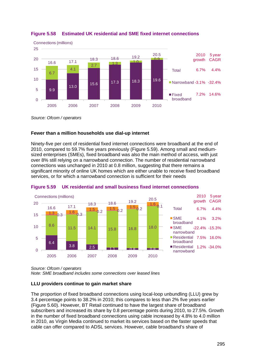

## <span id="page-52-0"></span>**Figure 5.58 Estimated UK residential and SME fixed internet connections**

*Source: Ofcom / operators*

## **Fewer than a million households use dial-up internet**

Ninety-five per cent of residential fixed internet connections were broadband at the end of 2010, compared to 59.7% five years previously [\(Figure 5.59\)](#page-52-1). Among small and mediumsized enterprises (SMEs), fixed broadband was also the main method of access, with just over 8% still relying on a narrowband connection. The number of residential narrowband connections was unchanged in 2010 at 0.8 million, suggesting that there remains a significant minority of online UK homes which are either unable to receive fixed broadband services, or for which a narrowband connection is sufficient for their needs



## <span id="page-52-1"></span>**Figure 5.59 UK residential and small business fixed internet connections**

*Source: Ofcom / operators*

*Note: SME broadband includes some connections over leased lines*

## **LLU providers continue to gain market share**

The proportion of fixed broadband connections using local-loop unbundling (LLU) grew by 3.4 percentage points to 38.2% in 2010; this compares to less than 2% five years earlier [\(Figure 5.60\)](#page-53-0). However, BT Retail continued to have the largest share of broadband subscribers and increased its share by 0.8 percentage points during 2010, to 27.5%. Growth in the number of fixed broadband connections using cable increased by 4.8% to 4.0 million in 2010, as Virgin Media continued to market its services based on the faster speeds that cable can offer compared to ADSL services. However, cable broadband's share of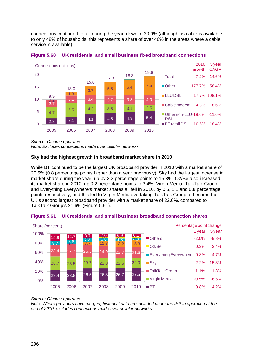connections continued to fall during the year, down to 20.9% (although as cable is available to only 48% of households, this represents a share of over 40% in the areas where a cable service is available).



<span id="page-53-0"></span>

*Source: Ofcom / operators*

*Note: Excludes connections made over cellular networks*

## **Sky had the highest growth in broadband market share in 2010**

While BT continued to be the largest UK broadband provider in 2010 with a market share of 27.5% (0.8 percentage points higher than a year previously), Sky had the largest increase in market share during the year, up by 2.2 percentage points to 15.3%. O2/Be also increased its market share in 2010, up 0.2 percentage points to 3.4%. Virgin Media, TalkTalk Group and Everything Everywhere's market shares all fell in 2010, by 0.5, 1.1 and 0.8 percentage points respectively, and this led to Virgin Media overtaking TalkTalk Group to become the UK's second largest broadband provider with a market share of 22.0%, compared to TalkTalk Group's 21.6% [\(Figure 5.61\)](#page-53-1).



## <span id="page-53-1"></span>**Figure 5.61 UK residential and small business broadband connection shares**

*Source: Ofcom / operators*

*Note: Where providers have merged, historical data are included under the ISP in operation at the end of 2010; excludes connections made over cellular networks*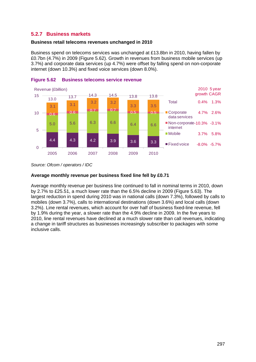# **5.2.7 Business markets**

#### **Business retail telecoms revenues unchanged in 2010**

Business spend on telecoms services was unchanged at £13.8bn in 2010, having fallen by £0.7bn (4.7%) in 2009 [\(Figure 5.62\)](#page-54-0). Growth in revenues from business mobile services (up 3.7%) and corporate data services (up 4.7%) were offset by falling spend on non-corporate internet (down 10.3%) and fixed voice services (down 8.0%).



## <span id="page-54-0"></span>**Figure 5.62 Business telecoms service revenue**

## **Average monthly revenue per business fixed line fell by £0.71**

Average monthly revenue per business line continued to fall in nominal terms in 2010, down by 2.7% to £25.51, a much lower rate than the 6.5% decline in 2009 [\(Figure 5.63\)](#page-55-0). The largest reduction in spend during 2010 was in national calls (down 7.3%), followed by calls to mobiles (down 3.7%), calls to international destinations (down 3.6%) and local calls (down 3.2%). Line rental revenues, which account for over half of business fixed-line revenue, fell by 1.9% during the year, a slower rate than the 4.9% decline in 2009. In the five years to 2010, line rental revenues have declined at a much slower rate than call revenues, indicating a change in tariff structures as businesses increasingly subscriber to packages with some inclusive calls.

*Source: Ofcom / operators / IDC*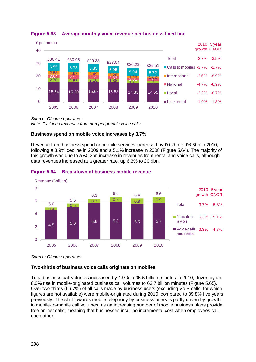

## <span id="page-55-0"></span>**Figure 5.63 Average monthly voice revenue per business fixed line**

*Source: Ofcom / operators Note: Excludes revenues from non-geographic voice calls*

## **Business spend on mobile voice increases by 3.7%**

Revenue from business spend on mobile services increased by £0.2bn to £6.6bn in 2010, following a 3.9% decline in 2009 and a 5.1% increase in 2008 [\(Figure 5.64\)](#page-55-1). The majority of this growth was due to a £0.2bn increase in revenues from rental and voice calls, although data revenues increased at a greater rate, up 6.3% to £0.9bn.



## <span id="page-55-1"></span>**Figure 5.64 Breakdown of business mobile revenue**

*Source: Ofcom / operators*

## **Two-thirds of business voice calls originate on mobiles**

Total business call volumes increased by 4.9% to 95.5 billion minutes in 2010, driven by an 8.0% rise in mobile-originated business call volumes to 63.7 billion minutes [\(Figure 5.65\)](#page-56-0). Over two-thirds (66.7%) of all calls made by business users (excluding VoIP calls, for which figures are not available) were mobile-originated during 2010, compared to 39.8% five years previously. The shift towards mobile telephony by business users is partly driven by growth in mobile-to-mobile call volumes, as an increasing number of mobile business plans provide free on-net calls, meaning that businesses incur no incremental cost when employees call each other.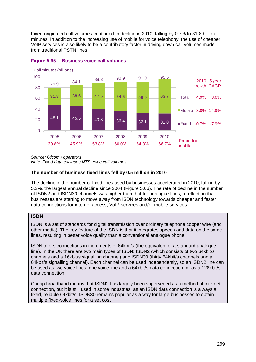Fixed-originated call volumes continued to decline in 2010, falling by 0.7% to 31.8 billion minutes. In addition to the increasing use of mobile for voice telephony, the use of cheaper VoIP services is also likely to be a contributory factor in driving down call volumes made from traditional PSTN lines.



## <span id="page-56-0"></span>**Figure 5.65 Business voice call volumes**

*Source: Ofcom / operators*

*Note: Fixed data excludes NTS voice call volumes*

## **The number of business fixed lines fell by 0.5 million in 2010**

The decline in the number of fixed lines used by businesses accelerated in 2010, falling by 5.2%, the largest annual decline since 2004 [\(Figure 5.66\)](#page-57-0). The rate of decline in the number of ISDN2 and ISDN30 channels was higher than that for analogue lines, a reflection that businesses are starting to move away from ISDN technology towards cheaper and faster data connections for internet access, VoIP services and/or mobile services.

## **ISDN**

ISDN is a set of standards for digital transmission over ordinary telephone copper wire (and other media). The key feature of the ISDN is that it integrates speech and data on the same lines, resulting in better voice quality than a conventional analogue phone.

ISDN offers connections in increments of 64kbit/s (the equivalent of a standard analogue line). In the UK there are two main types of ISDN: ISDN2 (which consists of two 64kbit/s channels and a 16kbit/s signalling channel) and ISDN30 (thirty 64kbit/s channels and a 64kbit/s signalling channel). Each channel can be used independently, so an ISDN2 line can be used as two voice lines, one voice line and a 64kbit/s data connection, or as a 128kbit/s data connection.

Cheap broadband means that ISDN2 has largely been superseded as a method of internet connection, but it is still used in some industries, as an ISDN data connection is always a fixed, reliable 64kbit/s. ISDN30 remains popular as a way for large businesses to obtain multiple fixed-voice lines for a set cost.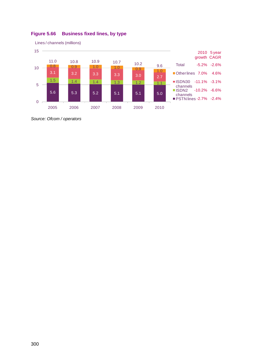

# <span id="page-57-0"></span>**Figure 5.66 Business fixed lines, by type**

*Source: Ofcom / operators*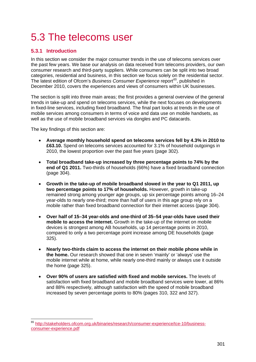# 5.3 The telecoms user

# **5.3.1 Introduction**

In this section we consider the major consumer trends in the use of telecoms services over the past few years. We base our analysis on data received from telecoms providers, our own consumer research and third-party suppliers. While consumers can be split into two broad categories, residential and business, in this section we focus solely on the residential sector. The latest edition of Ofcom's *Business Consumer Experience* report*[65](#page-58-0)* , published in December 2010, covers the experiences and views of consumers within UK businesses.

The section is split into three main areas; the first provides a general overview of the general trends in take-up and spend on telecoms services, while the next focuses on developments in fixed-line services, including fixed broadband. The final part looks at trends in the use of mobile services among consumers in terms of voice and data use on mobile handsets, as well as the use of mobile broadband services via dongles and PC datacards.

The key findings of this section are:

- **Average monthly household spend on telecoms services fell by 4.3% in 2010 to £63.10.** Spend on telecoms services accounted for 3.1% of household outgoings in 2010, the lowest proportion over the past five years (page [302\)](#page-59-0).
- **Total broadband take-up increased by three percentage points to 74% by the end of Q1 2011.** Two-thirds of households (66%) have a fixed broadband connection (page [304\)](#page-61-0).
- **Growth in the take-up of mobile broadband slowed in the year to Q1 2011, up two percentage points to 17% of households.** However, growth in take-up remained strong among younger age groups, up six percentage points among 16–24 year-olds to nearly one-third; more than half of users in this age group rely on a mobile rather than fixed broadband connection for their internet access (page [304\)](#page-61-0).
- **Over half of 15–34 year-olds and one-third of 35–54 year-olds have used their mobile to access the internet.** Growth in the take-up of the internet on mobile devices is strongest among AB households, up 14 percentage points in 2010, compared to only a two percentage point increase among DE households (page [325\)](#page-82-0).
- **Nearly two-thirds claim to access the internet on their mobile phone while in the home.** Our research showed that one in seven 'mainly' or 'always' use the mobile internet while at home, while nearly one-third mainly or always use it outside the home (page [325\)](#page-82-1).
- **Over 90% of users are satisfied with fixed and mobile services.** The levels of satisfaction with fixed broadband and mobile broadband services were lower, at 86% and 88% respectively, although satisfaction with the speed of mobile broadband increased by seven percentage points to 80% (pages [310,](#page-67-0) [322](#page-79-0) and [327\)](#page-84-0).

<span id="page-58-0"></span> <sup>65</sup> [http://stakeholders.ofcom.org.uk/binaries/research/consumer-experience/tce-10/business](http://stakeholders.ofcom.org.uk/binaries/research/consumer-experience/tce-10/business-consumer-experience.pdf)[consumer-experience.pdf](http://stakeholders.ofcom.org.uk/binaries/research/consumer-experience/tce-10/business-consumer-experience.pdf)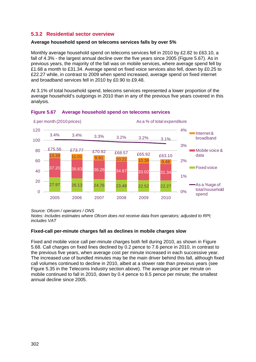# **5.3.2 Residential sector overview**

# **Average household spend on telecoms services falls by over 5%**

Monthly average household spend on telecoms services fell in 2010 by £2.82 to £63.10, a fall of 4.3% - the largest annual decline over the five years since 2005 [\(Figure 5.67\)](#page-59-0). As in previous years, the majority of the fall was on mobile services, where average spend fell by £1.68 a month to £31.34. Average spend on fixed voice services also fell, down by £0.25 to £22.27 while, in contrast to 2009 when spend increased, average spend on fixed internet and broadband services fell in 2010 by £0.90 to £9.48.

At 3.1% of total household spend, telecoms services represented a lower proportion of the average household's outgoings in 2010 than in any of the previous five years covered in this analysis.



## <span id="page-59-0"></span>**Figure 5.67 Average household spend on telecoms services**

*Source: Ofcom / operators / ONS*

*Notes: Includes estimates where Ofcom does not receive data from operators; adjusted to RPI; includes VAT*

## **Fixed-call per-minute charges fall as declines in mobile charges slow**

Fixed and mobile voice call per-minute charges both fell during 2010, as shown in [Figure](#page-60-0)  [5.68.](#page-60-0) Call charges on fixed lines declined by 0.2 pence to 7.6 pence in 2010, in contrast to the previous five years, when average cost per minute increased in each successive year. The increased use of bundled minutes may be the main driver behind this fall, although fixed call volumes continued to decline in 2010, albeit at a slower rate than previous years (see [Figure 5.35](#page-38-0) in the Telecoms Industry section above). The average price per minute on mobile continued to fall in 2010, down by 0.4 pence to 8.5 pence per minute; the smallest annual decline since 2005.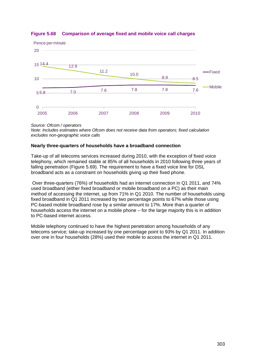

## <span id="page-60-0"></span>**Figure 5.68 Comparison of average fixed and mobile voice call charges**

*Source: Ofcom / operators*

*Note: Includes estimates where Ofcom does not receive data from operators; fixed calculation excludes non-geographic voice calls*

## **Nearly three-quarters of households have a broadband connection**

Take-up of all telecoms services increased during 2010, with the exception of fixed voice telephony, which remained stable at 85% of all households in 2010 following three years of falling penetration [\(Figure 5.69\)](#page-61-0). The requirement to have a fixed voice line for DSL broadband acts as a constraint on households giving up their fixed phone.

Over three-quarters (76%) of households had an internet connection in Q1 2011, and 74% used broadband (either fixed broadband or mobile broadband on a PC) as their main method of accessing the internet, up from 71% in Q1 2010. The number of households using fixed broadband in Q1 2011 increased by two percentage points to 67% while those using PC-based mobile broadband rose by a similar amount to 17%. More than a quarter of households access the internet on a mobile phone – for the large majority this is in addition to PC-based internet access.

Mobile telephony continued to have the highest penetration among households of any telecoms service; take-up increased by one percentage point to 93% by Q1 2011. In addition over one in four households (28%) used their mobile to access the internet in Q1 2011.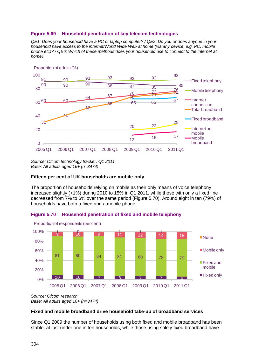## <span id="page-61-0"></span>**Figure 5.69 Household penetration of key telecom technologies**

*QE1: Does your household have a PC or laptop computer? / QE2: Do you or does anyone in your household have access to the internet/World Wide Web at home (via any device, e.g. PC, mobile phone etc)? / QE6: Which of these methods does your household use to connect to the internet at home?*



*Source: Ofcom technology tracker, Q1 2011 Base: All adults aged 16+ (n=3474)*

#### **Fifteen per cent of UK households are mobile-only**

The proportion of households relying on mobile as their only means of voice telephony increased slightly (+1%) during 2010 to 15% in Q1 2011, while those with only a fixed line decreased from 7% to 6% over the same period [\(Figure 5.70\)](#page-61-1). Around eight in ten (79%) of households have both a fixed and a mobile phone.

<span id="page-61-1"></span>





*Source: Ofcom research Base: All adults aged 16+ (n=3474)*

#### **Fixed and mobile broadband drive household take-up of broadband services**

Since Q1 2009 the number of households using both fixed and mobile broadband has been stable, at just under one in ten households, while those using solely fixed broadband have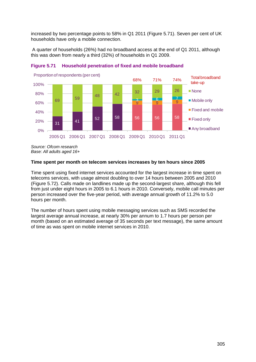increased by two percentage points to 58% in Q1 2011 [\(Figure 5.71\)](#page-62-0). Seven per cent of UK households have only a mobile connection.

A quarter of households (26%) had no broadband access at the end of Q1 2011, although this was down from nearly a third (32%) of households in Q1 2009.



<span id="page-62-0"></span>

*Source: Ofcom research Base: All adults aged 16+*

#### **Time spent per month on telecom services increases by ten hours since 2005**

Time spent using fixed internet services accounted for the largest increase in time spent on telecoms services, with usage almost doubling to over 14 hours between 2005 and 2010 [\(Figure 5.72\)](#page-63-0). Calls made on landlines made up the second-largest share, although this fell from just under eight hours in 2005 to 6.1 hours in 2010. Conversely, mobile call minutes per person increased over the five-year period, with average annual growth of 11.2% to 5.0 hours per month.

The number of hours spent using mobile messaging services such as SMS recorded the largest average annual increase, at nearly 30% per annum to 1.7 hours per person per month (based on an estimated average of 35 seconds per text message), the same amount of time as was spent on mobile internet services in 2010.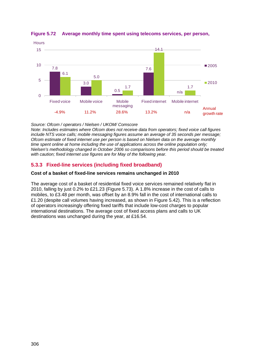

## <span id="page-63-0"></span>**Figure 5.72 Average monthly time spent using telecoms services, per person,**

#### *Source: Ofcom / operators / Nielsen / UKOM/ Comscore*

*Note: Includes estimates where Ofcom does not receive data from operators; fixed voice call figures include NTS voice calls; mobile messaging figures assume an average of 35 seconds per message; Ofcom estimate of fixed internet use per person is based on Nielsen data on the average monthly time spent online at home including the use of applications across the online population only; Nielsen's methodology changed in October 2006 so comparisons before this period should be treated with caution; fixed internet use figures are for May of the following year.*

# **5.3.3 Fixed-line services (including fixed broadband)**

## **Cost of a basket of fixed-line services remains unchanged in 2010**

The average cost of a basket of residential fixed voice services remained relatively flat in 2010, falling by just 0.2% to £21.23 [\(Figure 5.73\)](#page-64-0). A 1.8% increase in the cost of calls to mobiles, to £3.48 per month, was offset by an 8.9% fall in the cost of international calls to £1.20 (despite call volumes having increased, as shown in [Figure 5.42\)](#page-42-1). This is a reflection of operators increasingly offering fixed tariffs that include low-cost charges to popular international destinations. The average cost of fixed access plans and calls to UK destinations was unchanged during the year, at £16.54.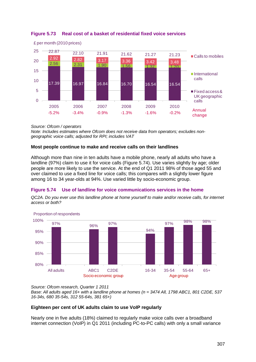

<span id="page-64-0"></span>

*Source: Ofcom / operators*

*Note: Includes estimates where Ofcom does not receive data from operators; excludes nongeographic voice calls; adjusted for RPI; includes VAT*

## **Most people continue to make and receive calls on their landlines**

Although more than nine in ten adults have a mobile phone, nearly all adults who have a landline (97%) claim to use it for voice calls [\(Figure 5.74\)](#page-64-1). Use varies slightly by age; older people are more likely to use the service. At the end of Q1 2011 98% of those aged 55 and over claimed to use a fixed line for voice calls; this compares with a slightly lower figure among 16 to 34 year-olds at 94%. Use varied little by socio-economic group.

## <span id="page-64-1"></span>**Figure 5.74 Use of landline for voice communications services in the home**

*QC2A. Do you ever use this landline phone at home yourself to make and/or receive calls, for internet access or both?*



*Source: Ofcom research, Quarter 1 2011*

*Base: All adults aged 16+ with a landline phone at homes (n = 3474 All, 1798 ABC1, 801 C2DE, 537 16-34s, 680 35-54s, 312 55-64s, 381 65+)* 

## **Eighteen per cent of UK adults claim to use VoIP regularly**

Nearly one in five adults (18%) claimed to regularly make voice calls over a broadband internet connection (VoIP) in Q1 2011 (including PC-to-PC calls) with only a small variance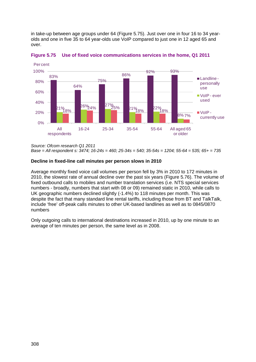in take-up between age groups under 64 [\(Figure 5.75\)](#page-65-0). Just over one in four 16 to 34 yearolds and one in five 35 to 64 year-olds use VoIP compared to just one in 12 aged 65 and over.



<span id="page-65-0"></span>**Figure 5.75 Use of fixed voice communications services in the home, Q1 2011** 

*Source: Ofcom research Q1 2011*

*Base = All respondent s: 3474; 16-24s = 460; 25-34s = 540; 35-54s = 1204; 55-64 = 535; 65+ = 735*

## **Decline in fixed-line call minutes per person slows in 2010**

Average monthly fixed voice call volumes per person fell by 3% in 2010 to 172 minutes in 2010, the slowest rate of annual decline over the past six years [\(Figure 5.76\)](#page-66-0). The volume of fixed outbound calls to mobiles and number translation services (i.e. NTS special services numbers - broadly, numbers that start with 08 or 09) remained static in 2010, while calls to UK geographic numbers declined slightly (-1.4%) to 118 minutes per month. This was despite the fact that many standard line rental tariffs, including those from BT and TalkTalk, include 'free' off-peak calls minutes to other UK-based landlines as well as to 0845/0870 numbers

Only outgoing calls to international destinations increased in 2010, up by one minute to an average of ten minutes per person, the same level as in 2008.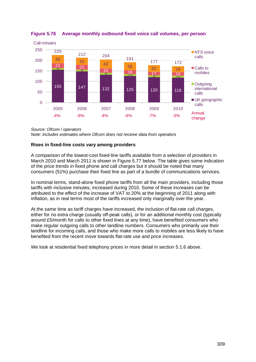

<span id="page-66-0"></span>**Figure 5.76 Average monthly outbound fixed voice call volumes, per person**

*Source: Ofcom / operators Note: Includes estimates where Ofcom does not receive data from operators*

## **Rises in fixed-line costs vary among providers**

A comparison of the lowest-cost fixed-line tariffs available from a selection of providers in March 2010 and March 2011 is shown in [Figure 5.77](#page-67-1) below. The table gives some indication of the price trends in fixed phone and call charges but it should be noted that many consumers (51%) purchase their fixed line as part of a bundle of communications services.

In nominal terms, stand-alone fixed phone tariffs from all the main providers, including those tariffs with inclusive minutes, increased during 2010. Some of these increases can be attributed to the effect of the increase of VAT to 20% at the beginning of 2011 along with inflation, as in real terms most of the tariffs increased only marginally over the year.

At the same time as tariff charges have increased, the inclusion of flat-rate call charges, either for no extra charge (usually off-peak calls), or for an additional monthly cost (typically around £5/month for calls to other fixed lines at any time), have benefited consumers who make regular outgoing calls to other landline numbers. Consumers who primarily use their landline for incoming calls, and those who make more calls to mobiles are less likely to have benefited from the recent move towards flat-rate use and price increases.

We look at residential fixed telephony prices in more detail in section [5.1.6](#page-24-0) above.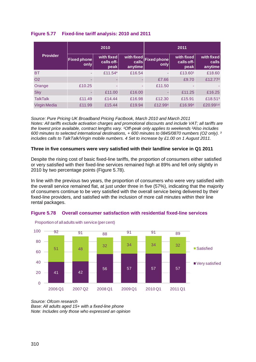## <span id="page-67-1"></span>**Figure 5.77 Fixed-line tariff analysis: 2010 and 2011**

| <b>Provider</b>     |                            | 2010                             |                        | 2011                           |                                  |                               |  |
|---------------------|----------------------------|----------------------------------|------------------------|--------------------------------|----------------------------------|-------------------------------|--|
|                     | <b>Fixed phone</b><br>only | with fixed<br>calls off-<br>peak | $\c{a}$ lls<br>anytime | with fixed Fixed phone<br>only | with fixed<br>calls off-<br>peak | with fixed<br>cals<br>anytime |  |
| <b>BT</b>           |                            | £11.54*                          | £16.54                 |                                | £13.601                          | £18.60                        |  |
| <b>O2</b>           |                            |                                  |                        | £7.66                          | £9.70                            | £12.772                       |  |
| Orange              | £10.25                     |                                  |                        | £11.50                         |                                  |                               |  |
| <b>Sky</b>          |                            | £11.00                           | £16.00                 |                                | £11.25                           | £16.25                        |  |
| <b>TalkTalk</b>     | £11.49                     | £14.44                           | £16.98                 | £12.30                         | £15.91                           | £18.51 <sup>3</sup>           |  |
| <b>Virgin Media</b> | £11.99                     | £15.44                           | £19.94                 | £12.994                        | £16.994                          | £20.993,4                     |  |

*Source: Pure Pricing UK Broadband Pricing Factbook, March 2010 and March 2011 Notes: All tariffs exclude activation charges and promotional discounts and include VAT; all tariffs are*  the lowest price available, contract lengths vary. <sup>1</sup>Off-peak only applies to weekends <sup>2</sup>Also includes *600 minutes to selected international destinations, + 600 minutes to 0845/0870 numbers (O2 only). ³ includes calls to TalkTalk/Virgin mobile numbers. 4 Set to increase by £1.00 on 1 August 2011.*

#### **Three in five consumers were very satisfied with their landline service in Q1 2011**

Despite the rising cost of basic fixed-line tariffs, the proportion of consumers either satisfied or very satisfied with their fixed-line services remained high at 89% and fell only slightly in 2010 by two percentage points [\(Figure 5.78\)](#page-67-0).

In line with the previous two years, the proportion of consumers who were very satisfied with the overall service remained flat, at just under three in five (57%), indicating that the majority of consumers continue to be very satisfied with the overall service being delivered by their fixed-line providers, and satisfied with the inclusion of more call minutes within their line rental packages.



<span id="page-67-0"></span>

*Source: Ofcom research Base: All adults aged 15+ with a fixed-line phone Note: Includes only those who expressed an opinion*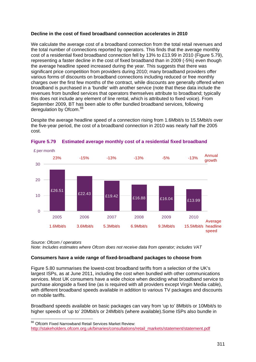## **Decline in the cost of fixed broadband connection accelerates in 2010**

We calculate the average cost of a broadband connection from the total retail revenues and the total number of connections reported by operators. This finds that the average monthly cost of a residential fixed broadband connection fell by 13% to £13.99 in 2010 [\(Figure 5.79\)](#page-68-0), representing a faster decline in the cost of fixed broadband than in 2009 (-5%) even though the average headline speed increased during the year. This suggests that there was significant price competition from providers during 2010; many broadband providers offer various forms of discounts on broadband connections including reduced or free monthly charges over the first few months of the contract, while discounts are generally offered when broadband is purchased in a 'bundle' with another service (note that these data include the revenues from bundled services that operators themselves attribute to broadband; typically this does not include any element of line rental, which is attributed to fixed voice). From September 2009, BT has been able to offer bundled broadband services, following deregulation by Ofcom.<sup>[66](#page-68-1)</sup>

Despite the average headline speed of a connection rising from 1.6Mbit/s to 15.5Mbit/s over the five-year period, the cost of a broadband connection in 2010 was nearly half the 2005 cost.



#### <span id="page-68-0"></span>**Figure 5.79 Estimated average monthly cost of a residential fixed broadband**

*Source: Ofcom / operators Note: Includes estimates where Ofcom does not receive data from operator; includes VAT*

## **Consumers have a wide range of fixed-broadband packages to choose from**

[Figure 5.80](#page-69-0) summarises the lowest-cost broadband tariffs from a selection of the UK's largest ISPs, as at June 2011, including the cost when bundled with other communications services. Most UK consumers have a wide choice when deciding what broadband service to purchase alongside a fixed line (as is required with all providers except Virgin Media cable), with different broadband speeds available in addition to various TV packages and discounts on mobile tariffs.

Broadband speeds available on basic packages can vary from 'up to' 8Mbit/s or 10Mbit/s to higher speeds of 'up to' 20Mbit/s or 24Mbit/s (where available).Some ISPs also bundle in

<span id="page-68-1"></span><sup>&</sup>lt;sup>66</sup> Ofcom Fixed Narrowband Retail Services Market Review:

[http://stakeholders.ofcom.org.uk/binaries/consultations/retail\\_markets/statement/statement.pdf](http://stakeholders.ofcom.org.uk/binaries/consultations/retail_markets/statement/statement.pdf)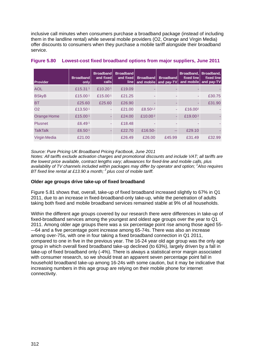inclusive call minutes when consumers purchase a broadband package (instead of including them in the landline rental) while several mobile providers (O2, Orange and Virgin Media) offer discounts to consumers when they purchase a mobile tariff alongside their broadband service.

| <b>Provider</b>     | <b>Broadband</b><br>only | <b>Broadband</b><br>and fixed<br>calls | <b>Broadband</b><br>and fixed<br>line <sub>1</sub> | <b>Broadband</b><br>and mobile | <b>Broadband</b><br>and pay-TV | Broadband.<br>fixed line<br>and mobile | Broadband.<br>fixed line<br>and pay-TV |
|---------------------|--------------------------|----------------------------------------|----------------------------------------------------|--------------------------------|--------------------------------|----------------------------------------|----------------------------------------|
| <b>AOL</b>          | £15.311                  | £10.201                                | £19.09                                             |                                |                                |                                        |                                        |
| <b>BSkyB</b>        | £15.001                  | £15.001                                | £21.25                                             |                                |                                |                                        | £30.75                                 |
| <b>BT</b>           | £25.60                   | £25.60                                 | £26.90                                             |                                |                                |                                        | £31.90                                 |
| O <sub>2</sub>      | £13.50 <sup>1</sup>      | ۰                                      | £21.00                                             | £8.501,2                       |                                | £16,00 <sup>2</sup>                    |                                        |
| Orange Home         | £15.001                  |                                        | £24.00                                             | £10.00 <sup>2</sup>            |                                | £19,00 <sup>2</sup>                    |                                        |
| <b>Plusnet</b>      | £6.491                   | ٠                                      | £18.48                                             |                                |                                |                                        |                                        |
| <b>TalkTalk</b>     | £6.501                   |                                        | £22.70                                             | £16.50-                        | --                             | £29.10                                 |                                        |
| <b>Virgin Media</b> | £21.00                   |                                        | £26.49                                             | £26.00                         | £45.99                         | £31.49                                 | £32.99                                 |

# <span id="page-69-0"></span>**Figure 5.80 Lowest-cost fixed broadband options from major suppliers, June 2011**

*Source: Pure Pricing UK Broadband Pricing Factbook, June 2011 Notes: All tariffs exclude activation charges and promotional discounts and include VAT; all tariffs are the lowest price available, contract lengths vary; allowances for fixed-line and mobile calls, plus availability of TV channels included within packages may differ by operator and option; <sup>1</sup> Also requires BT fixed line rental at £13.90 a month; <sup>2</sup> plus cost of mobile tariff.*

## **Older age groups drive take-up of fixed broadband**

[Figure 5.81](#page-70-0) shows that, overall, take-up of fixed broadband increased slightly to 67% in Q1 2011, due to an increase in fixed-broadband-only take-up, while the penetration of adults taking both fixed and mobile broadband services remained stable at 9% of all households.

Within the different age groups covered by our research there were differences in take-up of fixed-broadband services among the youngest and oldest age groups over the year to Q1 2011. Among older age groups there was a six percentage point rise among those aged 55- –-64 and a five percentage point increase among 65-74s. There was also an increase among over-75s, with one in four taking a fixed broadband connection in Q1 2011, compared to one in five in the previous year. The 16-24 year old age group was the only age group in which overall fixed broadband take-up declined (to 63%), largely driven by a fall in take-up of fixed broadband only (-4%). There is always a statistical error margin associated with consumer research, so we should treat an apparent seven percentage point fall in household broadband take-up among 16-24s with some caution, but it may be indicative that increasing numbers in this age group are relying on their mobile phone for internet connectivity.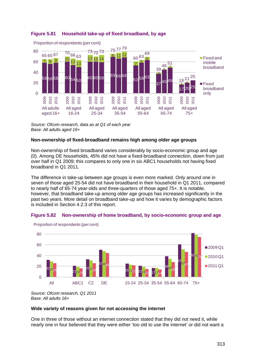

## <span id="page-70-0"></span>**Figure 5.81 Household take-up of fixed broadband, by age**

*Source: Ofcom research, data as at Q1 of each year Base: All adults aged 16+*

## **Non-ownership of fixed-broadband remains high among older age groups**

Non-ownership of fixed broadband varies considerably by socio-economic group and age [\(0\)](#page-70-1). Among DE households, 45% did not have a fixed-broadband connection, down from just over half in Q1 2009; this compares to only one in six ABC1 households not having fixed broadband in Q1 2011.

The difference in take-up between age groups is even more marked. Only around one in seven of those aged 25-54 did not have broadband in their household in Q1 2011, compared to nearly half of 65-74 year-olds and three-quarters of those aged 75+. It is notable, however, that broadband take-up among older age groups has increased significantly in the past two years. More detail on broadband take-up and how it varies by demographic factors is included in Section 4.2.3 of this report.





<span id="page-70-1"></span>Proportion of respondents (per cent)

*Source: Ofcom research, Q1 2011 Base: All adults 16+*

## **Wide variety of reasons given for not accessing the internet**

One in three of those without an internet connection stated that they did not need it, while nearly one in four believed that they were either 'too old to use the internet' or did not want a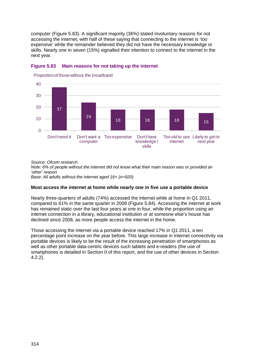computer [\(Figure 5.83\)](#page-71-0). A significant majority (36%) stated involuntary reasons for not accessing the internet, with half of these saying that connecting to the internet is 'too expensive' while the remainder believed they did not have the necessary knowledge or skills. Nearly one in seven (15%) signalled their intention to connect to the internet in the next year.



## <span id="page-71-0"></span>**Figure 5.83 Main reasons for not taking up the internet**

Proportion of those without the broadband

*Source: Ofcom research*

*Note: 6% of people without the internet did not know what their main reason was or provided an 'other' reason*

*Base: All adults without the internet aged 16+ (n=920)*

## **Most access the internet at home while nearly one in five use a portable device**

Nearly three-quarters of adults (74%) accessed the internet while at home in Q1 2011, compared to 61% in the same quarter in 2008 [\(Figure 5.84\)](#page-72-0). Accessing the internet at work has remained static over the last four years at one in four, while the proportion using an internet connection in a library, educational institution or at someone else's house has declined since 2008, as more people access the internet in the home.

Those accessing the internet via a portable device reached 17% in Q1 2011, a ten percentage point increase on the year before. This large increase in internet connectivity via portable devices is likely to be the result of the increasing penetration of smartphones as well as other portable data-centric devices such tablets and e-readers (the use of smartphones is detailed in Section 0 of this report, and the use of other devices in Section 4.2.2).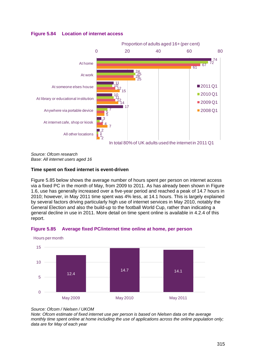## **Figure 5.84 Location of internet access**



*Source: Ofcom research Base: All internet users aged 16*

## **Time spent on fixed internet is event-driven**

[Figure 5.85](#page-72-0) below shows the average number of hours spent per person on internet access via a fixed PC in the month of May, from 2009 to 2011. As has already been shown in Figure 1.6, use has generally increased over a five-year period and reached a peak of 14.7 hours in 2010; however, in May 2011 time spent was 4% less, at 14.1 hours. This is largely explained by several factors driving particularly high use of internet services in May 2010, notably the General Election and also the build-up to the football World Cup, rather than indicating a general decline in use in 2011. More detail on time spent online is available in 4.2.4 of this report.

<span id="page-72-0"></span>



Hours per month

## *Source: Ofcom / Nielsen / UKOM*

*Note: Ofcom estimate of fixed internet use per person is based on Nielsen data on the average monthly time spent online at home including the use of applications across the online population only; data are for May of each year*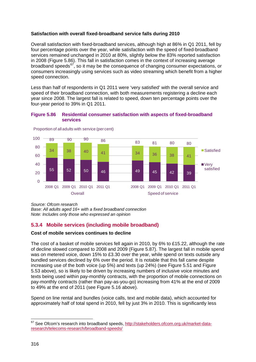## **Satisfaction with overall fixed-broadband service falls during 2010**

Overall satisfaction with fixed-broadband services, although high at 86% in Q1 2011, fell by four percentage points over the year, while satisfaction with the speed of fixed-broadband services remained unchanged in 2010 at 80%, slightly below the 83% reported satisfaction in 2008 [\(Figure 5.86\)](#page-73-0). This fall in satisfaction comes in the context of increasing average broadband speeds<sup>[67](#page-73-1)</sup>, so it may be the consequence of changing consumer expectations, or consumers increasingly using services such as video streaming which benefit from a higher speed connection.

Less than half of respondents in Q1 2011 were 'very satisfied' with the overall service and speed of their broadband connection, with both measurements registering a decline each year since 2008. The largest fall is related to speed, down ten percentage points over the four-year period to 39% in Q1 2011.

## <span id="page-73-0"></span>**Figure 5.86 Residential consumer satisfaction with aspects of fixed-broadband services**



Proportion of all adults with service (per cent)

*Source: Ofcom research*

*Base: All adults aged 16+ with a fixed broadband connection Note: Includes only those who expressed an opinion*

# **5.3.4 Mobile services (including mobile broadband)**

## **Cost of mobile services continues to decline**

The cost of a basket of mobile services fell again in 2010, by 6% to £15.22, although the rate of decline slowed compared to 2008 and 2009 [\(Figure 5.87\)](#page-74-0). The largest fall in mobile spend was on metered voice, down 15% to £3.30 over the year, while spend on texts outside any bundled services declined by 6% over the period. It is notable that this fall came despite increasing use of the both voice (up 5%) and texts (up 24%) (see [Figure 5.51](#page-47-0) and [Figure](#page-49-0)  [5.53](#page-49-0) above), so is likely to be driven by increasing numbers of inclusive voice minutes and texts being used within pay-monthly contracts, with the proportion of mobile connections on pay-monthly contracts (rather than pay-as-you-go) increasing from 41% at the end of 2009 to 49% at the end of 2011 (see [Figure 5.16](#page-17-0) above).

Spend on line rental and bundles (voice calls, text and mobile data), which accounted for approximately half of total spend in 2010, fell by just 3% in 2010. This is significantly less

<span id="page-73-1"></span><sup>&</sup>lt;sup>67</sup> See Ofcom's research into broadband speeds, [http://stakeholders.ofcom.org.uk/market-data](http://stakeholders.ofcom.org.uk/market-data-research/telecoms-research/broadband-speeds/)[research/telecoms-research/broadband-speeds/](http://stakeholders.ofcom.org.uk/market-data-research/telecoms-research/broadband-speeds/)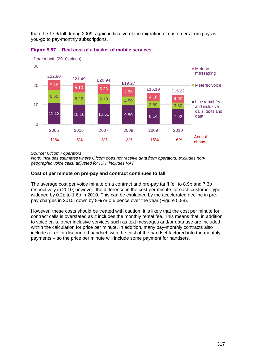than the 17% fall during 2009, again indicative of the migration of customers from pay-asyou-go to pay-monthly subscriptions.



## <span id="page-74-0"></span>**Figure 5.87 Real cost of a basket of mobile services**

*Source: Ofcom / operators*

.

*Note: Includes estimates where Ofcom does not receive data from operators; excludes nongeographic voice calls; adjusted for RPI; includes VAT*

## **Cost of per minute on pre-pay and contract continues to fall**

The average cost per voice minute on a contract and pre-pay tariff fell to 8.9p and 7.3p respectively in 2010; however, the difference in the cost per minute for each customer type widened by 0.2p to 1.6p in 2010. This can be explained by the accelerated decline in prepay charges in 2010, down by 8% or 0.6 pence over the year [\(Figure 5.88\)](#page-75-0).

However, these costs should be treated with caution; it is likely that the cost per minute for contract calls is overstated as it includes the monthly rental fee. This means that, in addition to voice calls, other inclusive services such as text messages and/or data use are included within the calculation for price per minute. In addition, many pay-monthly contracts also include a free or discounted handset, with the cost of the handset factored into the monthly payments – so the price per minute will include some payment for handsets.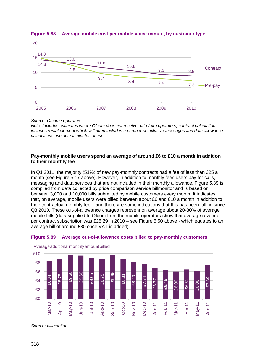

## <span id="page-75-0"></span>**Figure 5.88 Average mobile cost per mobile voice minute, by customer type**

*Source: Ofcom / operators*

*Note: Includes estimates where Ofcom does not receive data from operators; contract calculation includes rental element which will often includes a number of inclusive messages and data allowance; calculations use actual minutes of use*

## **Pay-monthly mobile users spend an average of around £6 to £10 a month in addition to their monthly fee**

In Q1 2011, the majority (51%) of new pay-monthly contracts had a fee of less than £25 a month (see [Figure 5.17](#page-18-0) above). However, in addition to monthly fees users pay for calls, messaging and data services that are not included in their monthly allowance. [Figure 5.89](#page-75-1) is compiled from data collected by price comparison service billmonitor and is based on between 3,000 and 10,000 bills submitted by mobile customers every month. It indicates that, on average, mobile users were billed between about £6 and £10 a month in addition to their contractual monthly fee – and there are some indications that this has been falling since Q3 2010. These out-of-allowance charges represent on average about 20-30% of average mobile bills (data supplied to Ofcom from the mobile operators show that average revenue per contract subscription was £25.29 in 2010 – see [Figure 5.50](#page-47-1) above - which equates to an average bill of around £30 once VAT is added).



### <span id="page-75-1"></span>**Figure 5.89 Average out-of-allowance costs billed to pay-monthly customers**

Average additional monthly amount billed

*Source: billmonitor*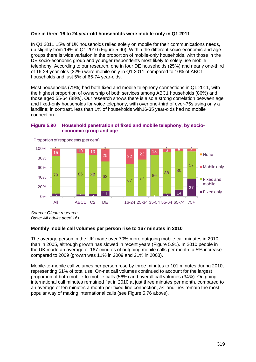## **One in three 16 to 24 year-old households were mobile-only in Q1 2011**

In Q1 2011 15% of UK households relied solely on mobile for their communications needs, up slightly from 14% in Q1 2010 [\(Figure 5.90\)](#page-76-0). Within the different socio-economic and age groups there is wide variation in the proportion of mobile-only households, with those in the DE socio-economic group and younger respondents most likely to solely use mobile telephony. According to our research, one in four DE households (25%) and nearly one-third of 16-24 year-olds (32%) were mobile-only in Q1 2011, compared to 10% of ABC1 households and just 5% of 65-74 year-olds.

Most households (79%) had both fixed and mobile telephony connections in Q1 2011, with the highest proportion of ownership of both services among ABC1 households (86%) and those aged 55-64 (88%). Our research shows there is also a strong correlation between age and fixed-only households for voice telephony, with over one-third of over-75s using only a landline; in contrast, less than 1% of households with16-35 year-olds had no mobile connection.



## <span id="page-76-0"></span>**Figure 5.90 Household penetration of fixed and mobile telephony, by socioeconomic group and age**

*Source: Ofcom research Base: All adults aged 16+*

## **Monthly mobile call volumes per person rise to 167 minutes in 2010**

The average person in the UK made over 70% more outgoing mobile call minutes in 2010 than in 2005, although growth has slowed in recent years [\(Figure 5.91\)](#page-77-0). In 2010 people in the UK made an average of 167 minutes of outgoing mobile calls per month, a 5% increase compared to 2009 (growth was 11% in 2009 and 21% in 2008).

Mobile-to-mobile call volumes per person rose by three minutes to 101 minutes during 2010, representing 61% of total use. On-net call volumes continued to account for the largest proportion of both mobile-to-mobile calls (56%) and overall call volumes (34%). Outgoing international call minutes remained flat in 2010 at just three minutes per month, compared to an average of ten minutes a month per fixed-line connection, as landlines remain the most popular way of making international calls (see [Figure 5.76](#page-66-0) above).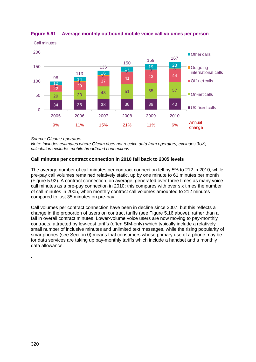

## <span id="page-77-0"></span>**Figure 5.91 Average monthly outbound mobile voice call volumes per person**

*Source: Ofcom / operators*

*Note: Includes estimates where Ofcom does not receive data from operators; excludes 3UK; calculation excludes mobile broadband connections*

## **Call minutes per contract connection in 2010 fall back to 2005 levels**

The average number of call minutes per contract connection fell by 5% to 212 in 2010, while pre-pay call volumes remained relatively static, up by one minute to 61 minutes per month [\(Figure 5.92\)](#page-78-0). A contract connection, on average, generated over three times as many voice call minutes as a pre-pay connection in 2010; this compares with over six times the number of call minutes in 2005, when monthly contract call volumes amounted to 212 minutes compared to just 35 minutes on pre-pay.

Call volumes per contract connection have been in decline since 2007, but this reflects a change in the proportion of users on contract tariffs (see [Figure 5.16](#page-17-0) above), rather than a fall in overall contract minutes. Lower-volume voice users are now moving to pay-monthly contracts, attracted by low-cost tariffs (often SIM-only) which typically include a relatively small number of inclusive minutes and unlimited text messages, while the rising popularity of smartphones (see Section 0) means that consumers whose primary use of a phone may be for data services are taking up pay-monthly tariffs which include a handset and a monthly data allowance.

.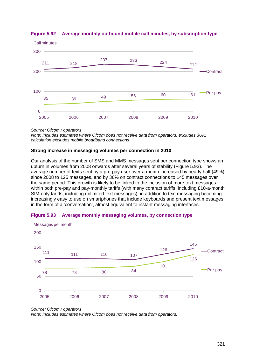

## <span id="page-78-0"></span>**Figure 5.92 Average monthly outbound mobile call minutes, by subscription type**

*Source: Ofcom / operators*

*Note: Includes estimates where Ofcom does not receive data from operators; excludes 3UK; calculation excludes mobile broadband connections*

## **Strong increase in messaging volumes per connection in 2010**

Our analysis of the number of SMS and MMS messages sent per connection type shows an upturn in volumes from 2008 onwards after several years of stability [\(Figure 5.93\)](#page-78-1). The average number of texts sent by a pre-pay user over a month increased by nearly half (49%) since 2008 to 125 messages, and by 36% on contract connections to 145 messages over the same period. This growth is likely to be linked to the inclusion of more text messages within both pre-pay and pay-monthly tariffs (with many contract tariffs, including £10-a-month SIM-only tariffs, including unlimited text messages), in addition to text messaging becoming increasingly easy to use on smartphones that include keyboards and present text messages in the form of a 'conversation', almost equivalent to instant messaging interfaces.



## <span id="page-78-1"></span>**Figure 5.93 Average monthly messaging volumes, by connection type**

*Note: Includes estimates where Ofcom does not receive data from operators.*

*Source: Ofcom / operators*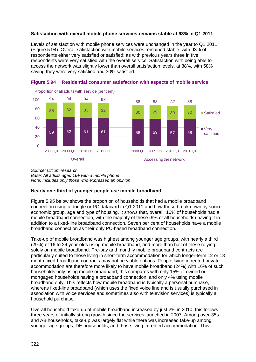### **Satisfaction with overall mobile phone services remains stable at 93% in Q1 2011**

Levels of satisfaction with mobile phone services were unchanged in the year to Q1 2011 [\(Figure 5.94\)](#page-79-0). Overall satisfaction with mobile services remained stable, with 93% of respondents either very satisfied or satisfied; as with previous years three in five respondents were very satisfied with the overall service. Satisfaction with being able to access the network was slightly lower than overall satisfaction levels, at 88%, with 58% saying they were very satisfied and 30% satisfied.



<span id="page-79-0"></span>

*Source: Ofcom research Base: All adults aged 16+ with a mobile phone Note: Includes only those who expressed an opinion*

## **Nearly one-third of younger people use mobile broadband**

[Figure 5.95](#page-80-0) below shows the proportion of households that had a mobile broadband connection using a dongle or PC datacard in Q1 2011 and how these break down by socioeconomic group, age and type of housing. It shows that, overall, 16% of households had a mobile broadband connection, with the majority of these (9% of all households) having it in addition to a fixed-line broadband connection. Seven per cent of households have a mobile broadband connection as their only PC-based broadband connection.

Take-up of mobile broadband was highest among younger age groups, with nearly a third (29%) of 16 to 24 year-olds using mobile broadband, and more than half of these relying solely on mobile broadband. Pre-pay and monthly mobile broadband contracts are particularly suited to those living in short-term accommodation for which longer-term 12 or 18 month fixed-broadband contracts may not be viable options. People living in rented private accommodation are therefore more likely to have mobile broadband (24%) with 16% of such households only using mobile broadband; this compares with only 15% of owned or mortgaged households having a broadband connection, and only 4% using mobile broadband only. This reflects how mobile broadband is typically a personal purchase, whereas fixed-line broadband (which uses the fixed voice line and is usually purchased in association with voice services and sometimes also with television services) is typically a household purchase.

Overall household take-up of mobile broadband increased by just 2% in 2010; this follows three years of initially strong growth since the services launched in 2007. Among over-35s and AB households, take-up was largely flat while there was increased take-up among younger age groups, DE households, and those living in rented accommodation. This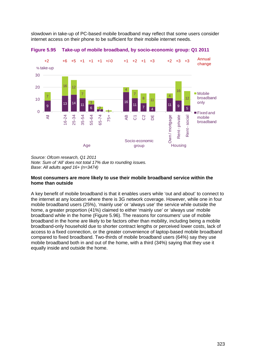slowdown in take-up of PC-based mobile broadband may reflect that some users consider internet access on their phone to be sufficient for their mobile internet needs.



<span id="page-80-0"></span>**Figure 5.95 Take-up of mobile broadband, by socio-economic group: Q1 2011**

*Source: Ofcom research, Q1 2011 Note: Sum of 'All' does not total 17% due to rounding issues. Base: All adults aged 16+ (n=3474)* 

#### **Most consumers are more likely to use their mobile broadband service within the home than outside**

A key benefit of mobile broadband is that it enables users while 'out and about' to connect to the internet at any location where there is 3G network coverage. However, while one in four mobile broadband users (25%), 'mainly use' or 'always use' the service while outside the home, a greater proportion (41%) claimed to either 'mainly use' or 'always use' mobile broadband while in the home [\(Figure 5.96\)](#page-81-0). The reasons for consumers' use of mobile broadband in the home are likely to be factors other than mobility, including being a mobile broadband-only household due to shorter contract lengths or perceived lower costs, lack of access to a fixed connection, or the greater convenience of laptop-based mobile broadband compared to fixed broadband. Two-thirds of mobile broadband users (64%) say they use mobile broadband both in and out of the home, with a third (34%) saying that they use it equally inside and outside the home.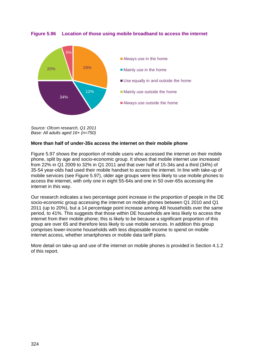### <span id="page-81-0"></span>**Figure 5.96 Location of those using mobile broadband to access the internet**



*Source: Ofcom research, Q1 2011 Base: All adults aged 16+ (n=750)* 

#### **More than half of under-35s access the internet on their mobile phone**

[Figure 5.97](#page-82-0) shows the proportion of mobile users who accessed the internet on their mobile phone, split by age and socio-economic group. It shows that mobile internet use increased from 22% in Q1 2009 to 32% in Q1 2011 and that over half of 15-34s and a third (34%) of 35-54 year-olds had used their mobile handset to access the internet. In line with take-up of mobile services (see [Figure 5.97\)](#page-82-0), older age groups were less likely to use mobile phones to access the internet, with only one in eight 55-64s and one in 50 over-65s accessing the internet in this way.

Our research indicates a two percentage point increase in the proportion of people in the DE socio-economic group accessing the internet on mobile phones between Q1 2010 and Q1 2011 (up to 20%), but a 14 percentage point increase among AB households over the same period, to 41%. This suggests that those within DE households are less likely to access the internet from their mobile phone; this is likely to be because a significant proportion of this group are over 65 and therefore less likely to use mobile services. In addition this group comprises lower-income households with less disposable income to spend on mobile internet access, whether smartphones or mobile data tariff plans.

More detail on take-up and use of the internet on mobile phones is provided in Section 4.1.2 of this report.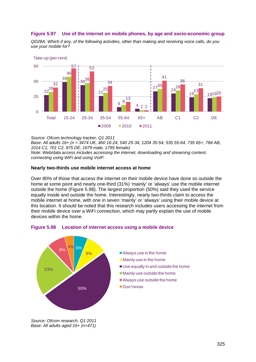## <span id="page-82-0"></span>**Figure 5.97 Use of the internet on mobile phones, by age and socio-economic group**

*QD28A: Which if any, of the following activities, other than making and receiving voice calls, do you use your mobile for?*



*Source: Ofcom technology tracker, Q1 2011 Base: All adults 16+ (n = 3474 UK, 460 16-24, 540 25-34, 1204 35-54, 535 55-64, 735 65+, 784 AB, 1014 C1, 701 C2, 975 DE, 1679 male, 1795 female) Note: Web/data access includes accessing the internet, downloading and streaming content, connecting using WiFi and using VoIP.*

#### **Nearly two-thirds use mobile internet access at home**

Over 80% of those that access the internet on their mobile device have done so outside the home at some point and nearly one-third (31%) 'mainly' or 'always' use the mobile internet outside the home [\(Figure 5.98\)](#page-82-1). The largest proportion (50%) said they used the service equally inside and outside the home. Interestingly, nearly two-thirds claim to access the mobile internet at home, with one in seven 'mainly' or 'always' using their mobile device at this location. It should be noted that this research includes users accessing the internet from their mobile device over a WiFi connection, which may partly explain the use of mobile devices within the home.



#### <span id="page-82-1"></span>**Figure 5.98 Location of internet access using a mobile device**

*Source: Ofcom research, Q1 2011 Base: All adults aged 16+ (n=471)*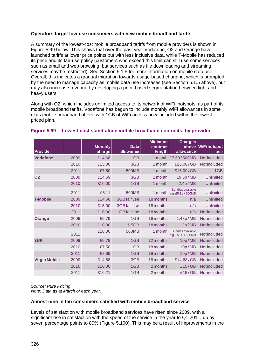## **Operators target low-use consumers with new mobile broadband tariffs**

A summary of the lowest-cost mobile broadband tariffs from mobile providers is shown in [Figure 5.99](#page-83-0) below. This shows that over the past year Vodafone, O2 and Orange have launched tariffs at lower price points but with less inclusive data, while T-Mobile has reduced its price and its fair-use policy (customers who exceed this limit can still use some services such as email and web browsing, but services such as file downloading and streaming services may be restricted). See Section [5.1.5](#page-21-0) for more information on mobile data use. Overall, this indicates a gradual migration towards usage-based charging, which is prompted by the need to manage capacity as mobile data use increases (see Section [5.1.5](#page-21-0) above), but may also increase revenue by developing a price-based segmentation between light and heavy users.

Along with O2, which includes unlimited access to its network of WiFi 'hotspots' as part of its mobile broadband tariffs, Vodafone has begun to include monthly WiFi allowances in some of its mobile broadband offers, with 1GB of WiFi access now included within the lowestpriced plan.

| Provider             |      | <b>Monthly</b><br>charge | <b>Data</b><br>allowance | <b>Minimum</b><br>contract<br>length | <b>Charges</b><br>above<br>allowance                   | <b>WiFihotspot</b><br><b>use</b> |
|----------------------|------|--------------------------|--------------------------|--------------------------------------|--------------------------------------------------------|----------------------------------|
| <b>Vodafone</b>      | 2009 | £14.68                   | 1GB                      |                                      | 1 month £7.50/500MB                                    | <b>Not included</b>              |
|                      | 2010 | £15.00                   | 3GB                      | 1 month                              | £15.00/GB                                              | <b>Notincluded</b>               |
|                      | 2011 | £7.50                    | <b>500MB</b>             | 1 month                              | £15.00/GB                                              | 1GB                              |
| <b>O2</b>            | 2009 | £14.69                   | 3GB                      | 1 month                              | 19.6p/MB                                               | <b>Unlimited</b>                 |
|                      | 2010 | £10.00                   | 1GB                      | 1 month                              | 2.4p/MB                                                | <b>Unlimited</b>                 |
|                      | 2011 | £5.11                    | <b>500MB</b>             |                                      | <b>Bundles available</b><br>1 month e.g. £5.11 / 500MB | <b>Unlimited</b>                 |
| <b>T-Mobile</b>      | 2009 | £14.68                   | 3GB fairuse              | 18 months                            | n/a                                                    | <b>Unlimited</b>                 |
|                      | 2010 | £15.00                   | 3GB fairuse              | 18 months                            | n/a                                                    | <b>Unlimited</b>                 |
|                      | 2011 | £10.00                   | 1GB fairuse              | 18 months                            | n/a                                                    | <b>Notincluded</b>               |
| <b>Orange</b>        | 2009 | £9.79                    | 1GB                      | 18 months                            | 1.43p/MB                                               | <b>Notincluded</b>               |
|                      | 2010 | £10.00                   | 1.5GB                    | 18 months                            | 2p/MB                                                  | <b>Notincluded</b>               |
|                      | 2011 | £10.00                   | <b>500MB</b>             | 1 month                              | <b>Bundles available</b><br>e.g. £5.00 / 500MB         | <b>Not included</b>              |
| 3UK                  | 2009 | £9.79                    | 1GB                      | 12 months                            | 10p/MB                                                 | <b>Notincluded</b>               |
|                      | 2010 | £7.50                    | 1GB                      | 18 months                            | 10p/MB                                                 | <b>Notincluded</b>               |
|                      | 2011 | £7.89                    | 1GB                      | 18 months                            | 10p/MB                                                 | <b>Notincluded</b>               |
| <b>Virgin Mobile</b> | 2009 | £14.68                   | 3GB                      | 18 months                            | £14.68/GB                                              | <b>Notincluded</b>               |
|                      | 2010 | £10.00                   | 1GB                      | 2 months                             | £15/GB                                                 | <b>Notincluded</b>               |
|                      | 2011 | £10.21                   | 1GB                      | 2 months                             | £15/GB                                                 | Notincluded                      |

### <span id="page-83-0"></span>**Figure 5.99 Lowest-cost stand-alone mobile broadband contracts, by provider**

*Source: Pure Pricing Note: Data as at March of each year.* 

#### **Almost nine in ten consumers satisfied with mobile broadband service**

Levels of satisfaction with mobile broadband services have risen since 2009, with a significant rise in satisfaction with the speed of the service in the year to Q1 2011, up by seven percentage points to 80% [\(Figure 5.100\)](#page-84-0). This may be a result of improvements in the